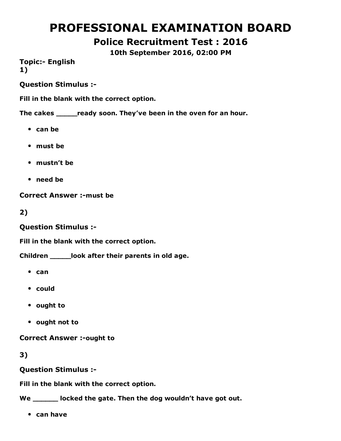# PROFESSIONAL EXAMINATION BOARD

Police Recruitment Test : 2016

10th September 2016, 02:00 PM

**Topic:- English** 1)

Question Stimulus :

Fill in the blank with the correct option.

The cakes \_\_\_\_\_ready soon. They've been in the oven for an hour.

- $\bullet$  can be
- must be
- mustn't be
- need be

Correct Answer :- must be

2)

Question Stimulus :

Fill in the blank with the correct option.

Children \_\_\_\_\_look after their parents in old age.

- $•$  can
- could
- ought to
- ought not to

**Correct Answer :-ought to** 

3)

Question Stimulus :

Fill in the blank with the correct option.

We \_\_\_\_\_\_ locked the gate. Then the dog wouldn't have got out.

can have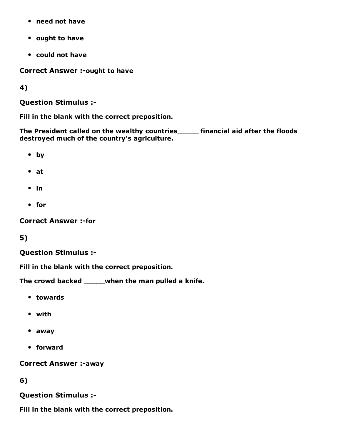- need not have
- ought to have
- could not have

Correct Answer :- ought to have

4)

Question Stimulus :

Fill in the blank with the correct preposition.

The President called on the wealthy countries\_\_\_\_\_ financial aid after the floods destroyed much of the country's agriculture.

- by
- at
- $\bullet$  in
- for

**Correct Answer :-for** 

5)

#### Question Stimulus :

Fill in the blank with the correct preposition.

The crowd backed \_\_\_\_\_when the man pulled a knife.

- towards
- with
- away
- forward

**Correct Answer :-away** 

6)

Question Stimulus :

Fill in the blank with the correct preposition.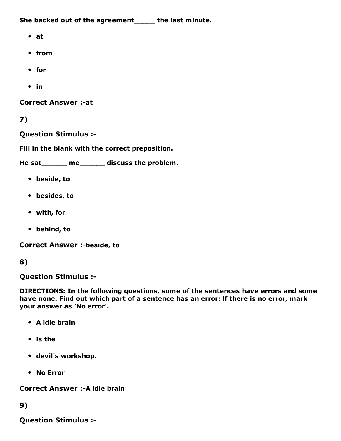She backed out of the agreement\_\_\_\_\_ the last minute.

- at
- from
- for
- $\cdot$  in

**Correct Answer :- at** 

7)

Question Stimulus :

Fill in the blank with the correct preposition.

He sat\_\_\_\_\_\_ me\_\_\_\_\_\_ discuss the problem.

- beside, to
- besides, to
- with, for
- behind, to

**Correct Answer :-beside, to** 

#### 8)

Question Stimulus :

DIRECTIONS: In the following questions, some of the sentences have errors and some have none. Find out which part of a sentence has an error: lf there is no error, mark your answer as 'No error'.

- A idle brain
- is the
- devil's workshop.
- No Error

Correct Answer :- A idle brain

#### 9)

Question Stimulus :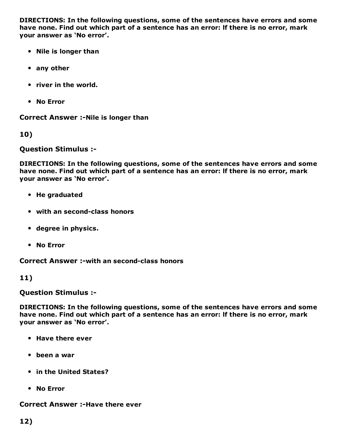DIRECTIONS: In the following questions, some of the sentences have errors and some have none. Find out which part of a sentence has an error: lf there is no error, mark your answer as 'No error'.

- Nile is longer than
- any other
- river in the world.
- No Error

Correct Answer :- Nile is longer than

10)

Question Stimulus :

DIRECTIONS: In the following questions, some of the sentences have errors and some have none. Find out which part of a sentence has an error: lf there is no error, mark your answer as 'No error'.

- He graduated
- with an second-class honors
- degree in physics.
- No Error

Correct Answer :- with an second-class honors

11)

Question Stimulus :

DIRECTIONS: In the following questions, some of the sentences have errors and some have none. Find out which part of a sentence has an error: lf there is no error, mark your answer as 'No error'.

- Have there ever
- been a war
- in the United States?
- No Error

#### Correct Answer :-Have there ever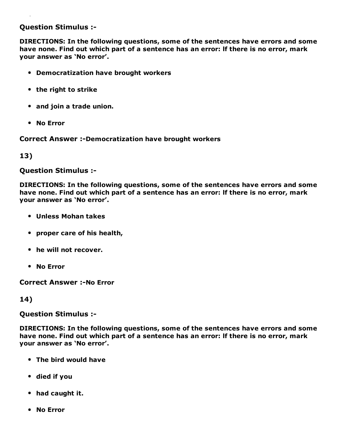#### Question Stimulus :

DIRECTIONS: In the following questions, some of the sentences have errors and some have none. Find out which part of a sentence has an error: lf there is no error, mark your answer as 'No error'.

- Democratization have brought workers
- the right to strike
- and join a trade union.
- No Error

**Correct Answer :-Democratization have brought workers** 

#### 13)

#### Question Stimulus :

DIRECTIONS: In the following questions, some of the sentences have errors and some have none. Find out which part of a sentence has an error: lf there is no error, mark your answer as 'No error'.

- Unless Mohan takes
- proper care of his health,
- he will not recover.
- No Error

**Correct Answer :- No Error** 

#### 14)

Question Stimulus :

DIRECTIONS: In the following questions, some of the sentences have errors and some have none. Find out which part of a sentence has an error: lf there is no error, mark your answer as 'No error'.

- The bird would have
- died if you
- had caught it.
- No Error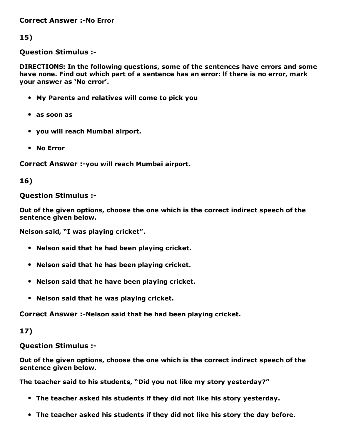**Correct Answer :-No Error** 

15)

Question Stimulus :

DIRECTIONS: In the following questions, some of the sentences have errors and some have none. Find out which part of a sentence has an error: lf there is no error, mark your answer as 'No error'.

- My Parents and relatives will come to pick you
- as soon as
- you will reach Mumbai airport.
- No Error

Correct Answer :- you will reach Mumbai airport.

#### 16)

#### Question Stimulus :

Out of the given options, choose the one which is the correct indirect speech of the sentence given below.

Nelson said, "I was playing cricket".

- Nelson said that he had been playing cricket.
- Nelson said that he has been playing cricket.
- Nelson said that he have been playing cricket.
- Nelson said that he was playing cricket.

Correct Answer :-Nelson said that he had been playing cricket.

### 17)

### Question Stimulus :

Out of the given options, choose the one which is the correct indirect speech of the sentence given below.

The teacher said to his students, "Did you not like my story yesterday?"

- The teacher asked his students if they did not like his story yesterday.
- The teacher asked his students if they did not like his story the day before.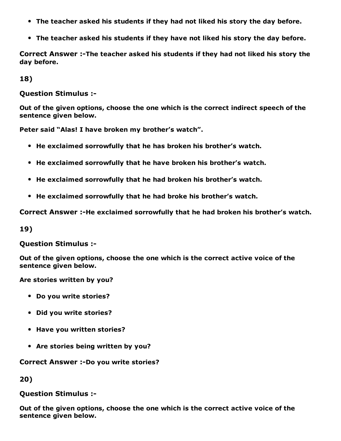- The teacher asked his students if they had not liked his story the day before.
- The teacher asked his students if they have not liked his story the day before.

Correct Answer :-The teacher asked his students if they had not liked his story the day before.

18)

Question Stimulus :

Out of the given options, choose the one which is the correct indirect speech of the sentence given below.

Peter said "Alas! I have broken my brother's watch".

- He exclaimed sorrowfully that he has broken his brother's watch.
- He exclaimed sorrowfully that he have broken his brother's watch.
- He exclaimed sorrowfully that he had broken his brother's watch.
- He exclaimed sorrowfully that he had broke his brother's watch.

Correct Answer :-He exclaimed sorrowfully that he had broken his brother's watch.

19)

Question Stimulus :

Out of the given options, choose the one which is the correct active voice of the sentence given below.

Are stories written by you?

- Do you write stories?
- Did you write stories?
- Have you written stories?
- Are stories being written by you?

Correct Answer :-Do you write stories?

20)

#### Question Stimulus :

Out of the given options, choose the one which is the correct active voice of the sentence given below.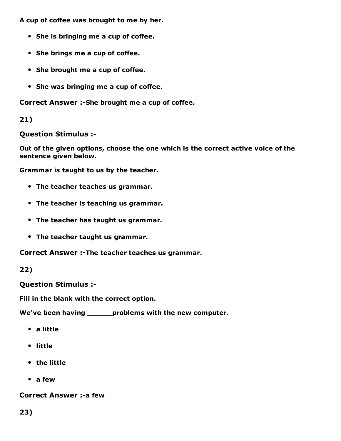A cup of coffee was brought to me by her.

- She is bringing me a cup of coffee.
- She brings me a cup of coffee.
- She brought me a cup of coffee.
- She was bringing me a cup of coffee.

Correct Answer :- She brought me a cup of coffee.

#### 21)

Question Stimulus :

Out of the given options, choose the one which is the correct active voice of the sentence given below.

Grammar is taught to us by the teacher.

- The teacher teaches us grammar.
- The teacher is teaching us grammar.
- The teacher has taught us grammar.
- The teacher taught us grammar.

Correct Answer :-The teacher teaches us grammar.

22)

Question Stimulus :

Fill in the blank with the correct option.

We've been having \_\_\_\_\_\_\_problems with the new computer.

- a little
- little
- the little
- a few

**Correct Answer :- a few**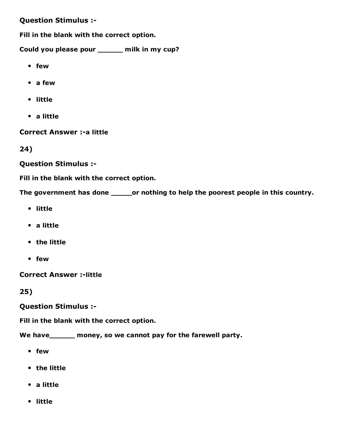#### Question Stimulus :

Fill in the blank with the correct option.

Could you please pour \_\_\_\_\_\_ milk in my cup?

- few
- a few
- little
- a little

**Correct Answer :- a little** 

24)

Question Stimulus :

Fill in the blank with the correct option.

The government has done \_\_\_\_\_\_or nothing to help the poorest people in this country.

- little
- a little
- the little
- few

**Correct Answer :- little** 

25)

Question Stimulus :

Fill in the blank with the correct option.

We have\_\_\_\_\_\_ money, so we cannot pay for the farewell party.

- few
- the little
- a little
- little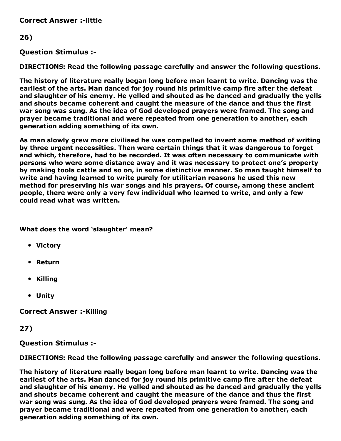**Correct Answer :-little** 

#### 26)

#### Question Stimulus :

DIRECTIONS: Read the following passage carefully and answer the following questions.

The history of literature really began long before man learnt to write. Dancing was the earliest of the arts. Man danced for joy round his primitive camp fire after the defeat and slaughter of his enemy. He yelled and shouted as he danced and gradually the yells and shouts became coherent and caught the measure of the dance and thus the first war song was sung. As the idea of God developed prayers were framed. The song and prayer became traditional and were repeated from one generation to another, each generation adding something of its own.

As man slowly grew more civilised he was compelled to invent some method of writing by three urgent necessities. Then were certain things that it was dangerous to forget and which, therefore, had to be recorded. It was often necessary to communicate with persons who were some distance away and it was necessary to protect one's property by making tools cattle and so on, in some distinctive manner. So man taught himself to write and having learned to write purely for utilitarian reasons he used this new method for preserving his war songs and his prayers. Of course, among these ancient people, there were only a very few individual who learned to write, and only a few could read what was written.

#### What does the word 'slaughter' mean?

- Victory
- Return
- Killing
- Unity

**Correct Answer :-Killing** 

#### 27)

#### Question Stimulus :

DIRECTIONS: Read the following passage carefully and answer the following questions.

The history of literature really began long before man learnt to write. Dancing was the earliest of the arts. Man danced for joy round his primitive camp fire after the defeat and slaughter of his enemy. He yelled and shouted as he danced and gradually the yells and shouts became coherent and caught the measure of the dance and thus the first war song was sung. As the idea of God developed prayers were framed. The song and prayer became traditional and were repeated from one generation to another, each generation adding something of its own.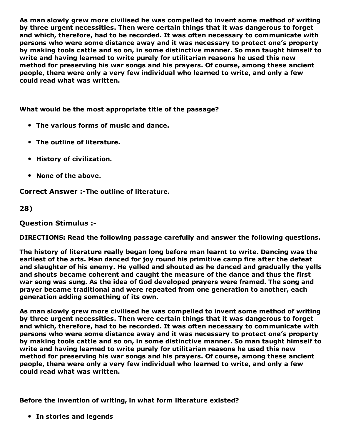As man slowly grew more civilised he was compelled to invent some method of writing by three urgent necessities. Then were certain things that it was dangerous to forget and which, therefore, had to be recorded. It was often necessary to communicate with persons who were some distance away and it was necessary to protect one's property by making tools cattle and so on, in some distinctive manner. So man taught himself to write and having learned to write purely for utilitarian reasons he used this new method for preserving his war songs and his prayers. Of course, among these ancient people, there were only a very few individual who learned to write, and only a few could read what was written.

What would be the most appropriate title of the passage?

- The various forms of music and dance.
- The outline of literature.
- History of civilization.
- None of the above.

Correct Answer :-The outline of literature.

#### 28)

Question Stimulus :

DIRECTIONS: Read the following passage carefully and answer the following questions.

The history of literature really began long before man learnt to write. Dancing was the earliest of the arts. Man danced for joy round his primitive camp fire after the defeat and slaughter of his enemy. He yelled and shouted as he danced and gradually the yells and shouts became coherent and caught the measure of the dance and thus the first war song was sung. As the idea of God developed prayers were framed. The song and prayer became traditional and were repeated from one generation to another, each generation adding something of its own.

As man slowly grew more civilised he was compelled to invent some method of writing by three urgent necessities. Then were certain things that it was dangerous to forget and which, therefore, had to be recorded. It was often necessary to communicate with persons who were some distance away and it was necessary to protect one's property by making tools cattle and so on, in some distinctive manner. So man taught himself to write and having learned to write purely for utilitarian reasons he used this new method for preserving his war songs and his prayers. Of course, among these ancient people, there were only a very few individual who learned to write, and only a few could read what was written.

Before the invention of writing, in what form literature existed?

• In stories and legends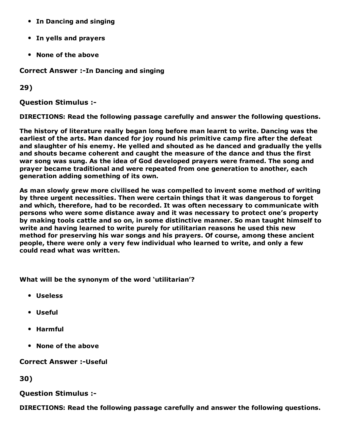- In Dancing and singing
- In yells and prayers
- None of the above

Correct Answer :-In Dancing and singing

29)

Question Stimulus :

DIRECTIONS: Read the following passage carefully and answer the following questions.

The history of literature really began long before man learnt to write. Dancing was the earliest of the arts. Man danced for joy round his primitive camp fire after the defeat and slaughter of his enemy. He yelled and shouted as he danced and gradually the yells and shouts became coherent and caught the measure of the dance and thus the first war song was sung. As the idea of God developed prayers were framed. The song and prayer became traditional and were repeated from one generation to another, each generation adding something of its own.

As man slowly grew more civilised he was compelled to invent some method of writing by three urgent necessities. Then were certain things that it was dangerous to forget and which, therefore, had to be recorded. It was often necessary to communicate with persons who were some distance away and it was necessary to protect one's property by making tools cattle and so on, in some distinctive manner. So man taught himself to write and having learned to write purely for utilitarian reasons he used this new method for preserving his war songs and his prayers. Of course, among these ancient people, there were only a very few individual who learned to write, and only a few could read what was written.

What will be the synonym of the word 'utilitarian'?

- Useless
- Useful
- Harmful
- None of the above

**Correct Answer :- Useful** 

30)

#### Question Stimulus :

DIRECTIONS: Read the following passage carefully and answer the following questions.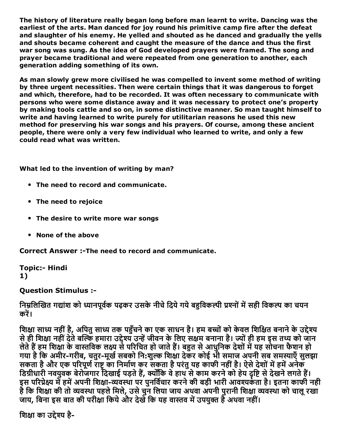The history of literature really began long before man learnt to write. Dancing was the earliest of the arts. Man danced for joy round his primitive camp fire after the defeat and slaughter of his enemy. He yelled and shouted as he danced and gradually the yells and shouts became coherent and caught the measure of the dance and thus the first war song was sung. As the idea of God developed prayers were framed. The song and prayer became traditional and were repeated from one generation to another, each generation adding something of its own.

As man slowly grew more civilised he was compelled to invent some method of writing by three urgent necessities. Then were certain things that it was dangerous to forget and which, therefore, had to be recorded. It was often necessary to communicate with persons who were some distance away and it was necessary to protect one's property by making tools cattle and so on, in some distinctive manner. So man taught himself to write and having learned to write purely for utilitarian reasons he used this new method for preserving his war songs and his prayers. Of course, among these ancient people, there were only a very few individual who learned to write, and only a few could read what was written.

What led to the invention of writing by man?

- The need to record and communicate.
- The need to rejoice
- The desire to write more war songs
- None of the above

Correct Answer :- The need to record and communicate.

**Topic:- Hindi** 1)

Question Stimulus :

निम्नलिखित गद्यांश को ध्यानपूर्वक पढ़कर उसके नीचे दिये गये बहुविकल्पी प्रश्नों में सही विकल्प का चयन करें।

शिक्षा साध्य नहीं है, अपितु साध्य तक पहुँचने का एक साधन है। हम बच्चों को केवल शिक्षित बनाने के उद्देश्य से ही शिक्षा नहीं देते बल्कि हमारा उद्देश्य उन्हें जीवन के लिए सक्षम बनाना है। ज्यों ही हम इस तथ्य को जान लेते हैं हम शिक्षा के वास्तविक लक्ष्य से परिचित हो जाते हैं। बहुत से आधुनिक देशों में यह सोचना फैशन हो गया है कि अमीर-गरीब, चतुर-मूर्ख सबको नि:शुल्क शिक्षा देकर कोई भी समाज अपनी सब समस्याएँ सुलझा सकता है और एक परिपूर्ण राष्ट्र का निर्माण कर सकता है परंतु यह काफी नहीं है। ऐसे देशों में हमें अनेक डिग्रीधारी नवयुवक् बेरोजगार दिखाई पड़ते हैं, क्योंकि वे हाथ से काम करने को हेय दृष्टि से देखने लगते हैं। इस परिप्रेक्ष्य में हमें अपनी शिक्षा-व्यवस्था पर पुनर्विचार करने की बड़ी भारी आवश्यकंता है। इतना काफी नही है कि शिक्षा की तो व्यवस्था पहले मिले, उसे चुनू लिया जाय अथवा अपनी पुरानी शिक्षा व्यवस्था को चालू रखा जाय, बिना इस बात की परीक्षा किये और देखेँ कि यह वास्तव में उपयुक्त हैँ अथवा नहीं।

शिक्षा का उद्देश्य है-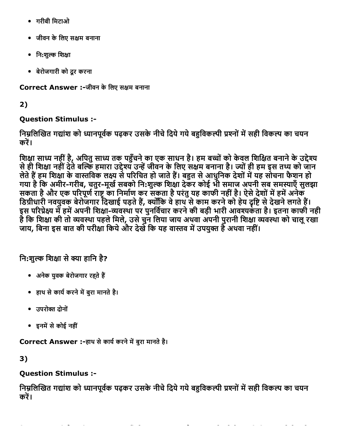- गरीबी िमटाओ
- जीवन के लिए सक्षम बनाना
- नि:शुल्क शिक्षा
- बेरोजगारी को दूर करना

Correct Answer :-जीवन के लिए सक्षम बनाना

2)

## Question Stimulus :

निम्नलिखित गद्यांश को ध्यानपूर्वक पढ़कर उसके नीचे दिये गये बहुविकल्पी प्रश्नों में सही विकल्प का चयन करें।

शिक्षा साध्य नहीं है, अपितु साध्य तक पहुँचने का एक साधन है। हम बच्चों को केवल शिक्षित बनाने के उद्देश्य से ही शिक्षा नहीं देते बल्कि हमारा उद्देश्य उन्हें जीवन के लिए सक्षम बनाना है। ज्यों ही हम इस तथ्य को जान लेते हैं हम शिक्षा के वास्तविक लक्ष्य से परिचित हो जाते हैं। बहुत से आधुनिक देशों में यह सोचना फैशन हो गया है कि अमीर-गरीब, चतुर-मूर्ख सबको नि:शुल्क शिक्षा देकर कोई भी समाज अपनी सब समस्याएँ सुलझा सकता है और एक परिपूर्ण राष्ट्र का निर्माण कर सकता है परंतु यह काफी नहीं है। ऐसे देशों में हमें अनेक डिग्रीधारी नवयुवक् बेरोजगार दिखाई पड़ते हैं, क्योंकि वे हाथ से काम करने को हेय दृष्टि से देखने लगते हैं। इस परिप्रेक्ष्य में हमें अपनी शिक्षा-व्यवस्था पर पुनर्विचार करने की बड़ी भारी आवश्यकता है। इतना काफी नही है कि शिक्षा की तो व्यवस्था पहले मिले, उसे चुन लिया जाय अथवा अपनी पुरानी शिक्षा व्यवस्था को चालू रखा जाय, बिना इस बात की परीक्षा किये और देखें कि यह वास्तव में उपयुक्त है अथवा नहीं।

नि:शुल्क शिक्षा से क्या हानि है?

- अनेक युवक बेरोजगार रहते हैं
- हाथ सेकायᘀकरनेम⨀बुरा मानतेहै।
- उपरोᄀԀ दोनों
- इनमें से कोई नहीं

Correct Answer :-हाथ से कार्य करने में बुरा मानते है।

3)

## Question Stimulus :

निम्नलिखित गद्यांश को ध्यानपूर्वक पढ़कर उसके नीचे दिये गये बहुविकल्पी प्रश्नों में सही विकल्प का चयन करें।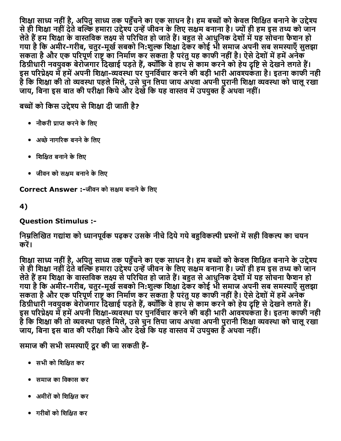शिक्षा साध्य नहीं है, अपितु साध्य तक पहुँचने का एक साधन है। हम बच्चों को केवल शिक्षित बनाने के उद्देश्य से ही शिक्षा नहीं देते बल्कि हमारा उद्देश्य उन्हें जीवन के लिए सक्षम बनाना है। ज्यों ही हम इस तथ्य को जान लेते हैं हम शिक्षा के वास्तविक लक्ष्य से परिचित हो जाते हैं। बहुत से आधुनिक देशों में यह सोचना फैशन हो गया है कि अमीर-गरीब, चतुर-मूर्ख सबको नि:शुल्क शिक्षा देकर कोई भी समाज अपनी सब समस्याएँ सुलझा सकता है और एक परिपूर्ण राष्ट्र का निर्माण कर सकता है परंतु यह काफी नहीं है। ऐसे देशों में हमें अनेक डिग्रीधारी नवयुवक् बेरोजगार दिखाई पड़ते हैं, क्योंकि वे हाथ से काम करने को हेय दृष्टि से देखने लगते हैं। इस परिप्रेक्ष्य में हमें अपनी शिक्षा-व्यवस्था पर पुनर्विचार करने की बड़ी भारी आवश्यकता है। इतना काफी नही है कि शिक्षा की तो व्यवस्था पहले मिले, उसे चुन लिया जाय अथवा अपनी पुरानी शिक्षा व्यवस्था को चालू रखा जाय, बिना इस बात की परीक्षा किये और देखेँ कि यह वास्तव में उपयुक्त हैँ अथवा नहीं।

बच्चों को किस उद्देश्य से शिक्षा दी जाती है?

- नौकरी प्राप्त करने के लिए
- अच्छे नागरिक बनने के लिए
- शिक्षित बनाने के लिए
- जीवन को सक्षम बनाने के लिए

Correct Answer :-जीवन को सक्षम बनाने के लिए

4)

## Question Stimulus :

### निम्नलिखित गद्यांश को ध्यानपूर्वक पढ़कर उसके नीचे दिये गये बहविकल्पी प्रश्नों में सही विकल्प का चयन करें।

शिक्षा साध्य नहीं है, अपितु साध्य तक पहुँचने का एक साधन है। हम बच्चों को केवल शिक्षित बनाने के उद्देश्य से ही शिक्षा नहीं देते बल्कि हमारा उद्देश्य उन्हें जीवन के लिए सक्षम बनाना है। ज्यों ही हम इस तथ्य को जान लेते हैं हम शिक्षा के वास्तविक लक्ष्य से परिचित हो जाते हैं। बहुत से आधुनिक देशों में यह सोचना फैशन हो गया है कि अमीर-गरीब, चतुर-मूर्ख सबको नि:शुल्क शिक्षा देकर कोई भी समाज अपनी सब समस्याएँ सुलझा सकता है और एक परिपूर्ण राष्ट्र का निर्माण कर सकता है परंतु यह काफी नहीं है। ऐसे देशों में हमें अनेक् डिग्रीधारी नवयुवक बेरोजगार दिखाई पड़ते हैं, क्योंकि वे हाथ से काम करने को हेय दृष्टि से देखने लगते हैं। इस परिप्रेक्ष्य में हमें अपनी शिक्षा-व्यवस्था पर पुनर्विचार करने की बड़ी भारी आवश्यर्कता है। इतना काफी नही है कि शिक्षा की तो व्यवस्था पहले मिले, उसे चुन लिया जाय अथवा अपनी पुरानी शिक्षा व्यवस्था को चालू रखा जाय, बिना इस बात की परीक्षा किये और देखेँ कि यह वास्तव में उपयुक्त हैँ अथवा नहीं।

समाज की सभी समस्याएँ दूर की जा सकती हैं-

- सभी को शिक्षित कर
- समाज का िवकास कर
- अमीरोंको िशि⠀त कर
- गरीबोंको िशि⠀त कर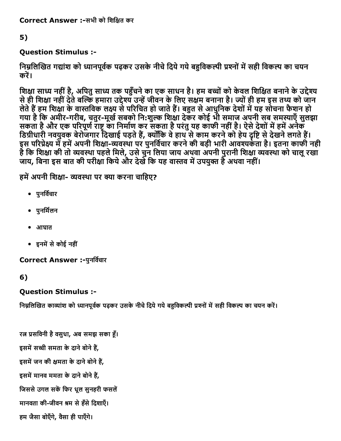## 5)

## Question Stimulus :

निम्नलिखित गद्यांश को ध्यानपूर्वक पढ़कर उसके नीचे दिये गये बहुविकल्पी प्रश्नों में सही विकल्प का चयन करें।

शिक्षा साध्य नहीं है, अपितु साध्य तक पहुँचने का एक साधन है। हम बच्चों को केवल शिक्षित बनाने के उद्देश्य से ही शिक्षा नहीं देते बल्कि हमारा उद्देश्य उन्हें जीवन के लिए सक्षम बनाना है। ज्यों ही हम इस तथ्य को जान लेते हैं हम शिक्षा के वास्तविक लक्ष्य से परिचित हो जाते हैं। बहुत से आधुनिक देशों में यह सोचना फैशन हो गया है कि अमीर-गरीब, चतुर-मूर्ख सबको नि:शुल्क शिक्षा देकर कोई भी समाज अपनी सब समस्याएँ सुलझा सकता है और एक परिपूर्ण राष्ट्र का निर्माण कर सकता है परंतु यह काफी नहीं है। ऐसे देशों में हमें अनेक डिग्रीधारी नवयुवक बेरोजगार दिखाई पड़ते हैं, क्योंकि वे हाथ से काम करने को हेय दृष्टि से देखने लगते हैं। इस परिप्रेक्ष्य में हमें अपनी शिक्षा-व्यवस्था पर पुनर्विचार करने की बड़ी भारी आवश्यकंता है। इतना काफी नही है कि शिक्षा की तो व्यवस्था पहले मिले, उसे चुन लिया जाय अथवा अपनी पुरानी शिक्षा व्यवस्था को चालू रखा जाय, बिना इस बात की परीक्षा किये और देखें कि यह वास्तव में उपयुक्त हैं अथवा नहीं।

हमें अपनी शिक्षा- व्यवस्था पर क्या करना चाहिए?

- पुनर्विचार
- पुनर्मिलन
- आघात
- इनमें से कोई नहीं

Correct Answer :-पुनर्विचार

## 6)

## Question Stimulus :

निम्नलिखित काव्यांश को ध्यानपूर्वक पढ़कर उसके नीचे दिये गये बहुविकल्पी प्रश्नों में सही विकल्प का चयन करें।

रत्न प्रसविनी है वसुधा, अब समझ सका हूँ। इसमें सच्ची समता के दाने बोने हैं, इसमें जन की क्षमता के दाने बोने हैं, इसमें मानव ममता के दाने बोने हैं, जिससे उगल सकें फिर धूल सुनहरी फसलें मानवता की-जीवन श्रम से हँसे दिशाएँ। हम जैसा बोएँगे, वैसा ही पाएँगे।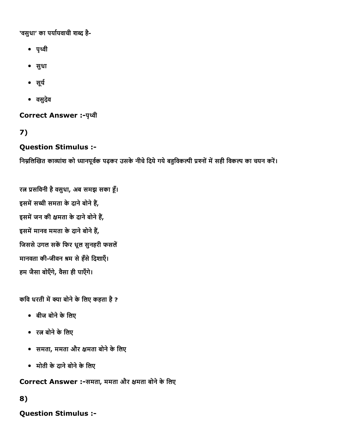'वसुधा' का पर्यायवाची शब्द है-

- पृ簄琄ी
- सुधा
- सूर्य
- वसुदेव

**Correct Answer :- पृथ्वी** 

7)

### Question Stimulus :

निम्नलिखित काव्यांश को ध्यानपूर्वक पढ़कर उसके नीचे दिये गये बहुविकल्पी प्रश्नों में सही विकल्प का चयन करें।

रत्न प्रसविनी है वसुधा, अब समझ सका हूँ। इसमें सच्ची समता के दाने बोने हैं, इसमें जन की क्षमता के दाने बोने हैं, इसमें मानव ममता के दाने बोने हैं, जिससे उगल सकें फिर धूल सुनहरी फसलें मानवता की-जीवन श्रम से हँसे दिशाएँ। हम जैसा बोएँगे, वैसा ही पाएँगे।

कवि धरती में क्या बोने के लिए कहता है ?

- बीज बोने के लिए
- रत्न बोने के लिए
- समता, ममता और क्षमता बोने के लिए
- मोती केदानेबोनेकेिलए

Correct Answer :-समता, ममता और क्षमता बोने के लिए

#### 8)

Question Stimulus :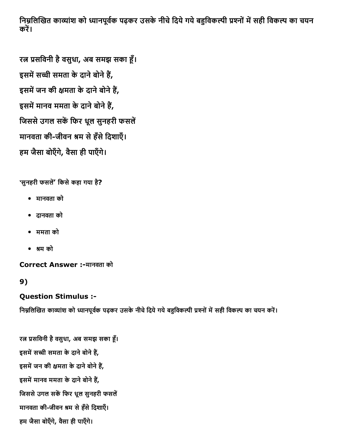निम्नलिखित काव्यांश को ध्यानपूर्वक पढ़कर उसके नीचे दिये गये बहुविकल्पी प्रश्नों में सही विकल्प का चयन करें।

रत्न प्रसविनी है वसुधा, अब समझ सका हूँ। इसमें सच्ची समता के दाने बोने हैं, इसमें जन की क्षमता के दाने बोने हैं, इसमें मानव ममता के दाने बोने हैं, जिससे उगल सकें फिर धूल सुनहरी फसलें मानवता की-जीवन श्रम से हँसे दिशाएँ। हम जैसा बोएँगे, वैसा ही पाएँगे।

'सुनहरी फसलें' किसे कहा गया है?

- मानवता को
- दानवता को
- ममता को
- ∀म को

Correct Answer :मानवता को

## 9)

## Question Stimulus :

निम्नलिखित काव्यांश को ध्यानपूर्वक पढ़कर उसके नीचे दिये गये बहुविकल्पी प्रश्नों में सही विकल्प का चयन करें।

रत्न प्रसविनी है वसुधा, अब समझ सका हूँ। इसमें सच्ची समता के दाने बोने हैं, इसमें जन की क्षमता के दाने बोने हैं, इसमें मानव ममता के दाने बोने हैं, जिससे उगल सकें फिर धूल सुनहरी फसलें मानवता की-जीवन श्रम से हँसे दिशाएँ। हम जैसा बोएँगे, वैसा ही पाएँगे।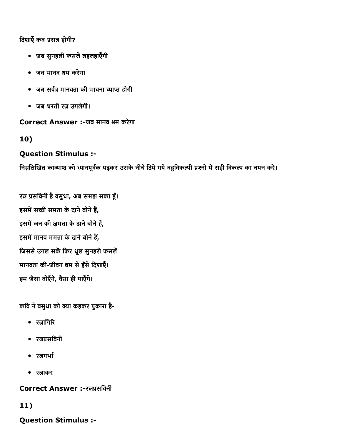दिशाएँ कब प्रसन्न होंगी?

- जब सुनहली फसलें लहलहाएँगी
- जब मानव ∀म करेगा
- जब सर्वत्र मानवता की भावना व्याप्त होगी
- जब धरती रत्न उगलेगी।

#### Correct Answer :-जब मानव श्रम करेगा

### 10)

### Question Stimulus :

निम्नलिखित काव्यांश को ध्यानपूर्वक पढ़कर उसके नीचे दिये गये बहुविकल्पी प्रश्नों में सही विकल्प का चयन करें।

रत्न प्रसविनी है वसुधा, अब समझ सका हूँ। इसमें सच्ची समता के दाने बोने हैं, इसमें जन की क्षमता के दाने बोने हैं, इसमें मानव ममता के दाने बोने हैं, जिससे उगल सकें फिर धूल सुनहरी फसलें मानवता की-जीवन श्रम से हँसे दिशाएँ। हम जैसा बोएँगे, वैसा ही पाएँगे।

कवि ने वसुधा को क्या कहकर पुकारा है-

- रतागिरि
- रतप्रसविनी
- रतगर्भा
- रताकर

Correct Answer :-रत्नप्रसविनी

## 11)

Question Stimulus :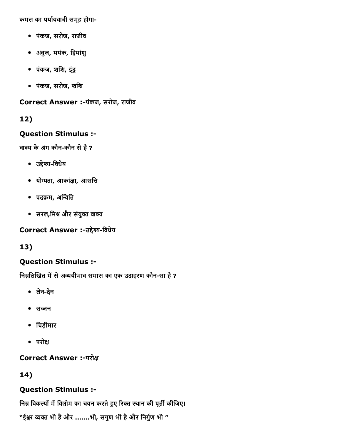कमल का पर्यायवाची समूह होगा-

- पंकज, सरोज, राजीव
- अबंुज, मयंक, िहमांशु
- पंकज, शिश, इंदु
- पंकज, सरोज, शिश

Correct Answer :-पंकज, सरोज, राजीव

12)

### Question Stimulus :

वाक्य के अंग कौन-कौन से हैं ?

- उद्देश्य-विधेय
- योग्यता, आकांक्षा, आसत्ति
- पदक्रम, अन्विति
- सरल,मिश्र और संयुक्त वाक्य

Correct Answer :-उद्देश्य-विधेय

13)

### Question Stimulus :

निम्नलिखित में से अव्ययीभाव समास का एक उदाहरण कौन-सा है ?

- लेनदेन
- सज्जन
- िचड़ीमार
- $\bullet$  परोक्ष

Correct Answer :-परोक्ष

## 14)

## Question Stimulus :

निम्न विकल्पों में विलोम का चयन करते हुए रिक्त स्थान की पूर्ती कीजिए।

"ईश्वर व्यक्त भी है और .......भी, सगुण भी है और निर्गुण भी "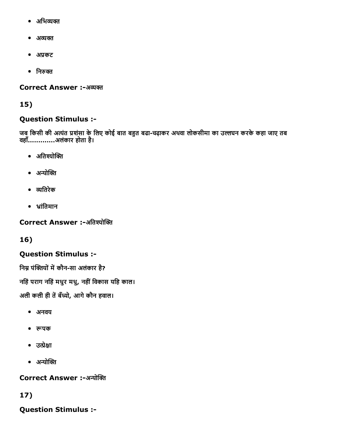- अभिव्यक्त
- अव्यक्त
- अप्रकट
- निरुक्त

Correct Answer :-अव्यक्त

## 15)

## Question Stimulus :

जब किसी की अत्यंत प्रशंसा के लिए कोई बात बहुत बढा-चढ़ाकर अथवा लोकसीमा का उल्लंघन करके कहा जाए तब वहाँ.............अलंकार होता है।

- अतिश्योक्ति
- अन्योक्ति
- ကितरेक
- ̀ांितमान

Correct Answer :-अतिश्योक्ति

## 16)

## Question Stimulus :

निम्न पंक्तियों में कौन-सा अलंकार है?

नहिं पराग नहिं मधुर मधु, नहीं विकास यहि काल।

अली कली ही तें बँध्यो, आगे कौन हवाल।

- अनवय
- रूपक
- उत्प्रेक्षा
- $\bullet$  अन्योक्ति

Correct Answer :-अन्योक्ति

## 17)

Question Stimulus :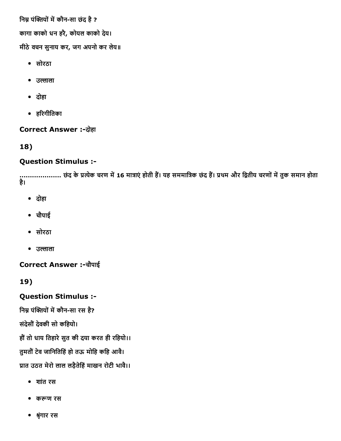निम्न पंक्तियों में कौन-सा छंद है ?

कागा काको धन हरै, कोयल काको देय।

मीठेवचन सुनाय कर, जग अपनो कर लेय॥

- सोरठा
- उल्लाला
- दोहा
- ह̀रगीितका

## **Correct Answer :-दोहा**

18)

## Question Stimulus :

..................... छद के प्रत्येक चरण में 16 मात्राएं होती है। यह सममात्रिक छद है। प्रथम और द्वितीय चरणों में तुक समान होता है।

- दोहा
- चौपाई
- सोरठा
- उल्लाला

Correct Answer :चौपाई

19)

## Question Stimulus :

निम्न पंक्तियों में कौन-सा रस है?

संदेसौंदेवकी सो किहयो।

हौं तो धाय तिहारे सुत की दया करत ही रहियो।।

तुमतौंटेव जािनितिहंहो तऊ मोिह किह आव।ै

प्रात उठत मेरो लाल लड़ैतेहिं माखन रोटी भावै।।

- शांत रस
- कကण रस
- श्रृंगार रस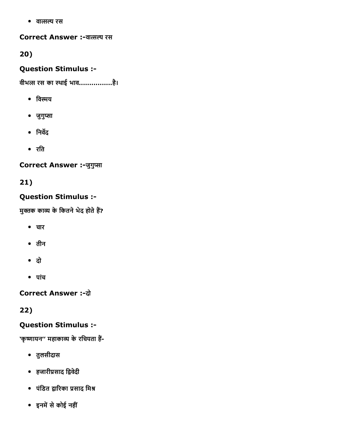• वात्सल्य रस

Correct Answer :-वात्सल्य रस

20)

## Question Stimulus :

वीभत्स रस का स्थाई भाव..................है।

- विस्मय
- जुगुप्सा
- $\bullet$  निर्वेद
- रित

Correct Answer :-जुगुप्सा

21)

## Question Stimulus :

मुक्तक काव्य के कितने भेद होते हैं?

- चार
- तीन
- दो
- पांच

**Correct Answer :- दो** 

22)

## Question Stimulus :

'कृष्णायन'' महाकाव्य के रचियता हैं-

- तुलसीदास
- हजारीप्रसाद द्विवेदी
- पंडित द्वारिका प्रसाद मिश्र
- इनमें से कोई नहीं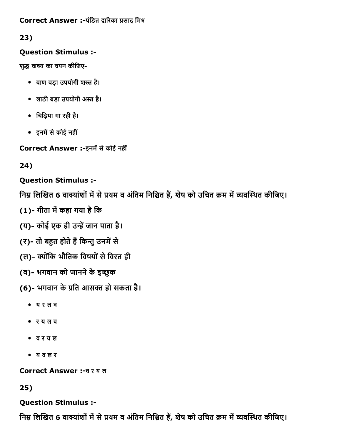### Correct Answer :-पंडित द्वारिका प्रसाद मिश्र

## 23)

## Question Stimulus :

शुद्ध वाक्य का चयन कीजिए-

- बाण बड़ा उपयोगी शस्त्र है।
- लाठी बड़ा उपयोगी अस्त्र है।
- िचिड़या गा रही है।
- इनमें से कोई नहीं

Correct Answer :-इनमें से कोई नहीं

24)

Question Stimulus :

निम्न लिखित 6 वाक्यांशों में से प्रथम व अंतिम निश्चित हैं, शेष को उचित क्रम में व्यवस्थित कीजिए।

(1)- गीता में कहा गया है कि

(य)- कोई एक ही उन्हें जान पाता है।

(र)- तो बहुत होते हैं किन्तु उनमें से

- (ल)- क्योंकि भौतिक विषयों से विरत ही
- (व)- भगवान को जानने के इच्छुक
- (6)- भगवान के प्रति आसक्त हो सकता है।
	- य र ल व
	- र य ल व
	- व र य ल
	- य व ल र

Correct Answer :व र य ल

25)

## Question Stimulus :

निम्न लिखित 6 वाक्यांशों में से प्रथम व अंतिम निश्चित हैं, शेष को उचित क्रम में व्यवस्थित कीजिए।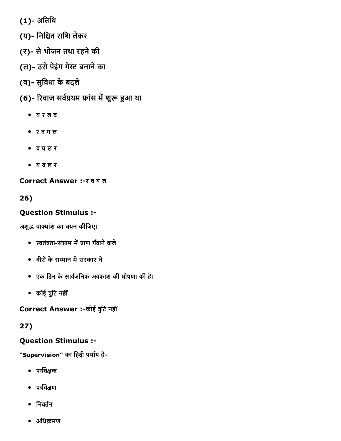- (1)- अतिथि
- (य)- निश्चित राशि लेकर
- (र)- से भोजन तथा रहने की
- (ल)- उसे पेइंग गेस्ट बनाने का
- (व)- सुविधा के बदले
- (6)- रिवाज सर्वप्रथम फ्रांस में शुरू हुआ था
	- य र ल व
	- र व य ल
	- व य ल र
	- य व ल र

Correct Answer :- र व य ल

26)

## Question Stimulus :

अशुद्ध वाक्यांश का चयन कीजिए।

- स्वतंत्रता-संग्राम में प्राण गँवाने वाले
- वीरों के सम्मान में सरकार ने
- एक दिन के सार्वजनिक अवकाश की घोषणा की है।
- कोई ुिट नहीं

Correct Answer :-कोई त्रुटि नहीं

## 27)

## Question Stimulus :

"Supervision" का हिंदी पर्याय है-

- पर्यवेक्षक
- पर्यवेक्षण
- $\bullet$  निवर्तन
- अधिक्रमण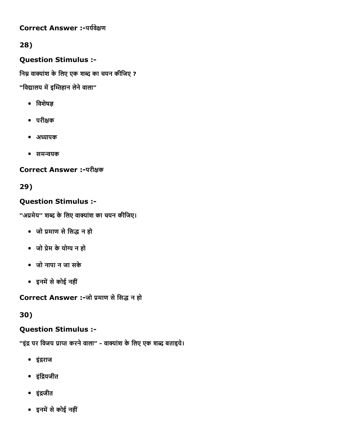#### Correct Answer :-पर्यवेक्षण

## 28)

### Question Stimulus :

निम्न वाक्यांश के लिए एक शब्द का चयन कीजिए ?

"विद्यालय में इम्तिहान लेने वाला"

- $\bullet$  विशेषज्ञ
- परी⠀क
- अध्यापक
- समन्वयक

## Correct Answer :-परीक्षक

29)

## Question Stimulus :

''अप्रमेय'' शब्द के लिए वाक्यांश का चयन कीजिए।

- जो प्रमाण से सिद्ध न हो
- जो प्रेम के योग्य न हो
- जो नापा न जा सके
- इनमें से कोई नहीं

Correct Answer :-जो प्रमाण से सिद्ध न हो

30)

## Question Stimulus :

"इंद्र पर विजय प्राप्त करने वाला" - वाक्यांश के लिए एक शब्द बताइये।

- इंद्रराज
- इंद्रियजीत
- इंद्रजीत
- इनमें से कोई नहीं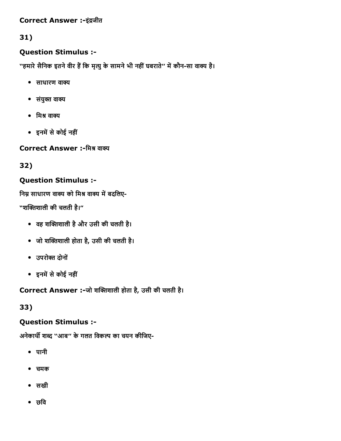#### Correct Answer :-इंद्रजीत

## 31)

### Question Stimulus :

''हमारे सैनिक इतने वीर हैं कि मृत्यु के सामने भी नहीं घबराते'' में कौन-सा वाक्य है।

- $\bullet$  साधारण वाक्य
- $\bullet$  संयुक्त वाक्य
- मिश्र वाक्य
- इनमें से कोई नहीं

Correct Answer :-मिश्र वाक्य

32)

### Question Stimulus :

निम्न साधारण वाक्य को मिश्र वाक्य में बदलिए-

"शक्तिशाली की चलती है।"

- वह शक्तिशाली है और उसी की चलती है।
- जो शक्तिशाली होता है, उसी की चलती है।
- उपरोᄀԀ दोनों
- इनमें से कोई नहीं

Correct Answer :-जो शक्तिशाली होता है, उसी की चलती है।

33)

### Question Stimulus :

अनेकार्थी शब्द "आब" के गलत विकल्प का चयन कीजिए-

- पानी
- चमक
- सखी
- छवि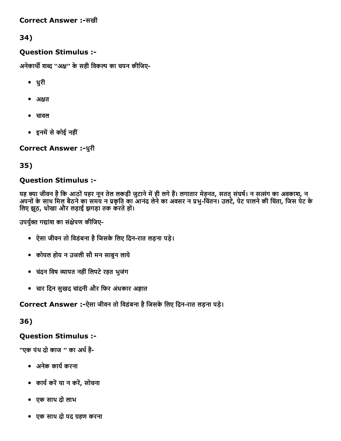#### Correct Answer :-सखी

### 34)

### Question Stimulus :

अनेकार्थी शब्द ''अक्ष'' के सही विकल्प का चयन कीजिए-

- धुरी
- अक्षत
- चावल
- इनमें से कोई नहीं

### Correct Answer :-धुरी

### 35)

### Question Stimulus :

यह क्या जीवन है कि आठों पहर नून तेल लकड़ी जुटाने में ही लगे हैं। लगातार मेहनत, सतत् संघर्ष। न सत्संग का अवकाश, न अपनों के साथ मिल बैठने का समय न प्रकृति का आनंद लेने का अवसर न प्रभु-चिंतन। उलटे, पेट पालने की चिंता, जिस पेट के िलए झठू, धोखा और लड़ाई झगड़ा तक करतेहो।ं

उपर्युक्त गद्यांश का संक्षेपण कीजिए-

- ऐसा जीवन तो विडंबना है जिसके लिए दिन-रात लड़ना पड़े।
- कोयल होय न उजली सौ मन साबुन लाये
- चदंन िवष ကापत नहींिलपटेरहत भुजंग
- चार िदन सुखद चांदनी और िफर अधंकार अἀात

### Correct Answer :-ऐसा जीवन तो विडंबना है जिसके लिए दिन-रात लड़ना पड़े।

#### 36)

### Question Stimulus :

''एक पंथ दो काज '' का अर्थ है-

- अनेक कायᘀकरना
- कायᘀकर⨀या न कर⨀, सोचना
- एक साथ दो लाभ
- एक साथ दो पद ఀहण करना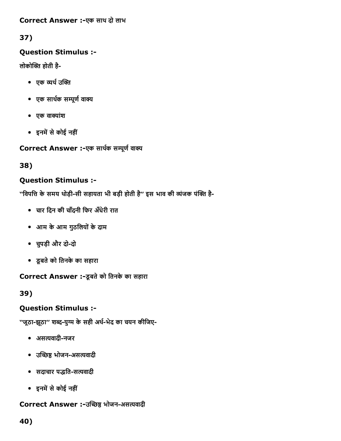#### Correct Answer :-एक साथ दो लाभ

## 37)

### Question Stimulus :

लोकोक्ति होती है-

- एक व्यर्थ उक्ति
- एक सार्थक सम्पूर्ण वाक्य
- $\bullet$  एक वाक्यांश
- इनमें से कोई नहीं

Correct Answer :-एक सार्थक सम्पूर्ण वाक्य

38)

## Question Stimulus :

''विपत्ति के समय थोड़ी-सी सहायता भी बड़ी होती है'' इस भाव की व्यंजक पंक्ति है-

- चार िदन की चाँदनी िफर अधँेरी रात
- आम केआम गुठिलयोंकेदाम
- चुपड़ी और दो-दो
- डूबतेको ितनकेका सहारा

Correct Answer :-डूबते को तिनके का सहारा

39)

## Question Stimulus :

''जूठा-झूठा'' शब्द-युग्म के सही अर्थ-भेद का चयन कीजिए-

- असत्यवादी-नजर
- उच्छिष्ठ भोजन-असत्यवादी
- सदाचार पद्धति-सत्यवादी
- इनमें से कोई नहीं

## Correct Answer :-उच्छिष्ठ भोजन-असत्यवादी

40)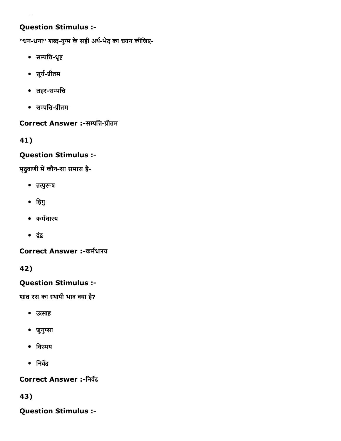## Question Stimulus :

''धन-धना'' शब्द-युग्म के सही अर्थ-भेद का चयन कीजिए-

- सम्पत्ति-धृष्ट
- सूर्य-प्रीतम
- लहर-सम्पत्ति
- सम्पत्ति-प्रीतम

## Correct Answer :-सम्पत्ति-प्रीतम

41)

### Question Stimulus :

मृदुवाणी में कौन-सा समास है-

- तत्पुरूष
- द्विगु
- कर्मधारय
- ကंက

Correct Answer :-कर्मधारय

42)

## Question Stimulus :

शांत रस का स्थायी भाव क्या है?

- उत्साह
- जुगुप्सा
- विस्मय
- $\bullet$  निर्वेद

Correct Answer :-निर्वेद

43)

Question Stimulus :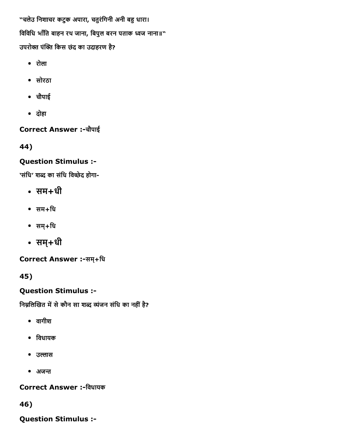"चलेउ निशाचर कटुक अपारा, चतुरंगिनी अनी बहु धारा। विविधि भाँति बाहन रथ जाना, बिपुल बरन पताक ध्वज नाना॥" उपरोक्त पंक्ति किस छंद का उदाहरण है?

- रोला
- सोरठा
- चौपाई
- दोहा

Correct Answer :चौपाई

44)

## Question Stimulus :

'संधि' शब्द का संधि विच्छेद होगा-

- सम+धी
- सम+िध
- सम्+िध
- सम्+धी

Correct Answer :-सम्+धि

45)

Question Stimulus :

निम्नलिखित में से कौन सा शब्द व्यंजन संधि का नहीं है?

- वागीश
- िवधायक
- उल्लास
- $\bullet$  अजन्त

Correct Answer :-विधायक

46)

Question Stimulus :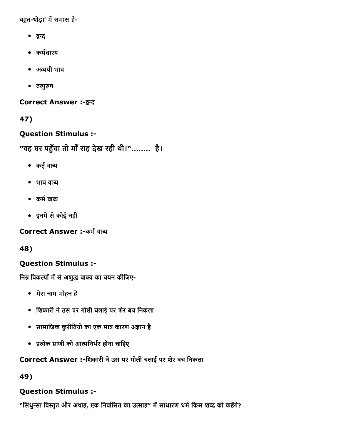बहुत-थोड़ा' में समास है-

- द्वन्द
- कर्मधारय
- अ䨀䈀ययी भाव
- तत्पुरुष

Correct Answer :-द्वन्द

47)

Question Stimulus :

"वह घर पကँचा तो माँराह देख रही थी।"........ है।

- कर्तु वाच्य
- $\bullet$  भाव वाच्य
- कर्म वाच्य
- इनमें से कोई नहीं

Correct Answer :-कर्म वाच

48)

## Question Stimulus :

निम्न विकल्पों में से अशुद्ध वाक्य का चयन कीजिए-

- मेरा नाम मोहन है
- िशकारी नेउस पर गोली चलाई पर शेर बच िनकला
- सामाजिक कुरीतियो का एक मात्र कारण अज्ञान है
- प्रत्येक प्राणी को आत्मनिर्भर होना चाहिए

Correct Answer :-शिकारी ने उस पर गोली चलाई पर शेर बच निकला

49)

## Question Stimulus :

"सिंधुन्सा विस्तृत और अथाह, एक निर्वासित का उत्साह" में साधारण धर्म किस शब्द को कहेंगे?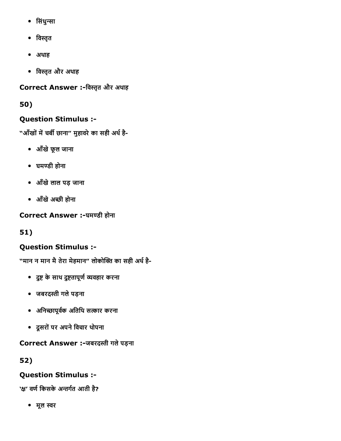- सिंधुन्सा
- विस्तृत
- अथाह
- विस्तृत और अथाह

Correct Answer :-विस्तृत और अथाह

50)

## Question Stimulus :

"आँखों में चर्बी छाना" मुहावरे का सही अर्थ है-

- आँखेफूल जाना
- घमဇडी होना
- आँखेलाल पड़ जाना
- आँखेअ छी होना

Correct Answer :-घमण्डी होना

51)

## Question Stimulus :

"मान न मान मै तेरा मेहमान" लोकोक्ति का सही अर्थ है-

- दुष्ट के साथ दुष्टतापूर्ण व्यवहार करना
- जबरद᐀Āी गलेपड़ना
- अनिच्छापूर्वक अतिथि सत्कार करना
- दूसरोंपर अपनेिवचार थोपना

Correct Answer :-जबरदस्ती गले पड़ना

52)

## Question Stimulus :

'क्ष' वर्ण किसके अन्तर्गत आती है?

• मूल स्वर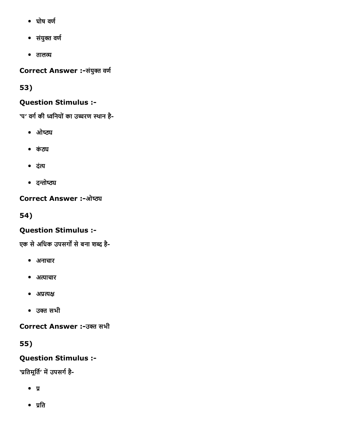- $\bullet$  घोष वर्ण
- संयुक्त वर्ण
- तालက

Correct Answer :-संयुक्त वर्ण

53)

## Question Stimulus :

'प' वर्ग की ध्वनियों का उच्चरण स्थान है-

- $\bullet$  ओष्ठ्य
- कंठ्य
- दंत्य
- दन्तोष्ठ्य

**Correct Answer :-ओष्ठ्य** 

54)

## Question Stimulus :

एक से अधिक उपसर्गों से बना शब्द है-

- अनाचार
- अ錄鈄याचार
- अप्रत्यक्ष
- उကत सभी

Correct Answer :उကत सभी

55)

Question Stimulus :

'प्रतिमूर्ति' में उपसर्ग है-

- $\bullet$  y
- $\bullet$  प्रति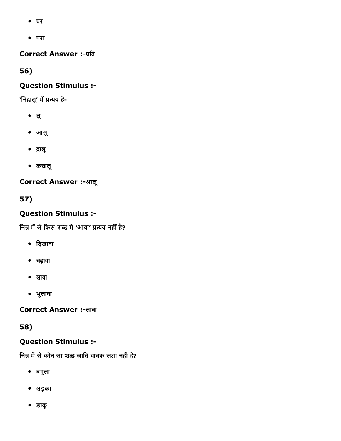- पर
- परा

**Correct Answer :- प्रति** 

56)

### Question Stimulus :

'निद्रालू' में प्रत्यय है-

- लू
- आलू
- ∙ द्रालू
- कचालू

**Correct Answer :-आलू** 

57)

## Question Stimulus :

निम्न में से किस शब्द में 'आवा' प्रत्यय नहीं है?

- िदखावा
- चढ़ावा
- लावा
- भुलावा

Correct Answer :-लावा

58)

## Question Stimulus :

निम्न में से कौन सा शब्द जाति वाचक संज्ञा नहीं है?

- बगुला
- लड़का
- डाकू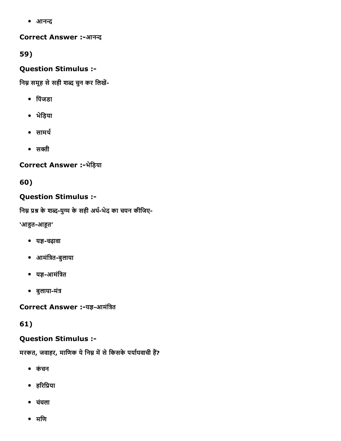• आनन्द

**Correct Answer :-आनन्द** 

59)

Question Stimulus :

निम्न समूह से सही शब्द चुन कर लिखें-

- िपंजडा
- भेिड़या
- $\bullet$  सामर्थ
- $\bullet$  सक्ती

Correct Answer :-भेड़िया

60)

## Question Stimulus :

निम्न प्रश्न के शब्द-युग्म के सही अर्थ-भेद का चयन कीजिए-

'आहूत-आहूत'

- यज्ञ-चढ़ावा
- आमंत्रित-बुलाया
- यज्ञ-आमंत्रित
- बुलाया-मंत्र

Correct Answer :-यज्ञ-आमंत्रित

61)

## Question Stimulus :

मरकत, जवाहर, माणिक ये निम्न में से किसके पर्यायवाची हैं?

- कंचन
- हरिप्रिया
- चचंला
- मिण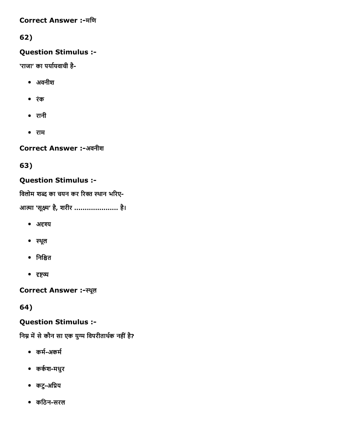#### **Correct Answer :-मणि**

# 62)

### Question Stimulus :

'राजा' का पर्यायवाची है-

- अवनीश
- रंक
- रानी
- राम

Correct Answer :-अवनीश

63)

### Question Stimulus :

विलोम शब्द का चयन कर रिक्त स्थान भरिए-

आत्मा 'सूक्ष्म' है, शरीर ....................... है।

- अदृश्य
- स्थूल
- निश्चित
- दृष्टव्य

Correct Answer :-स्थूल

64)

### Question Stimulus :

निम्न में से कौन सा एक युग्म विपरीतार्थक नहीं है?

- कर्म-अकर्म
- कर्कश-मधुर
- कटु-अप्रिय
- किठनसरल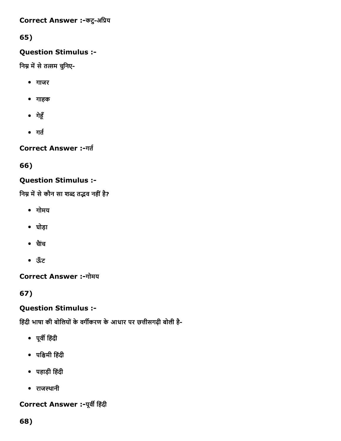#### Correct Answer :-कटु-अप्रिय

# 65)

### Question Stimulus :

निम्न में से तत्सम चुनिए-

- गाजर
- गाहक
- गेहूँ
- $\bullet$  गर्त

Correct Answer :-गर्त

66)

## Question Stimulus :

निम्न में से कौन सा शब्द तद्भव नहीं है?

- गोमय
- घोड़ा
- चाैंच
- ऊँट

**Correct Answer :-गोमय** 

67)

# Question Stimulus :

हिंदी भाषा की बोलियों के वर्गीकरण के आधार पर छत्तीसगढ़ी बोली है-

- पूवᘀ िहंदी
- पि㠸Āमी िहंदी
- पहाड़ी िहंदी
- राजस्थानी

# Correct Answer :- पूर्वी हिंदी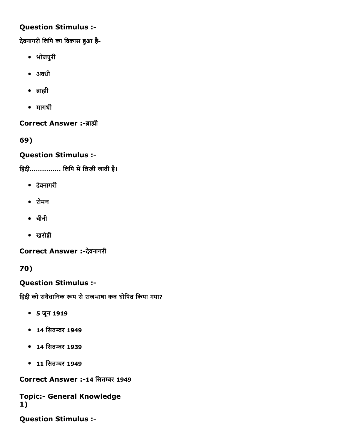### Question Stimulus :

देवनागरी लिपि का विकास हुआ है-

- भोजपुरी
- अवधी
- ब्राह्मी
- मागधी

Correct Answer :-ब्राह्मी

69)

## Question Stimulus :

हिंदी................ लिपि में लिखी जाती है।

- देवनागरी
- रोमन
- चीनी
- खरोကी

Correct Answer :-देवनागरी

70)

# Question Stimulus :

हिंदी को संवैधानिक रूप से राजभाषा कब घोषित किया गया?

- 5 जून 1919
- 14 िसतကर 1949
- 14 िसतကर 1939
- 11 िसतကर 1949

Correct Answer :-14 सितम्बर 1949

**Topic:- General Knowledge** 1)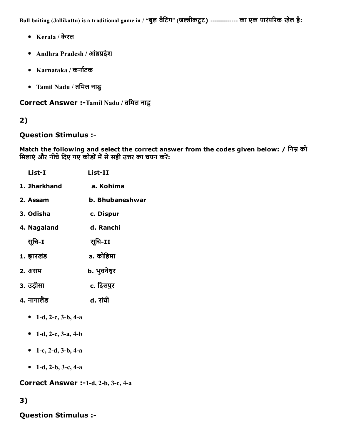Bull baiting (Jallikattu) is a traditional game in / "बुल बैटिंग" (जल्लीकटूट) ------------- का एक पारंपरिक खेल है:

- Kerala / केरल
- Andhra Pradesh / आंध्रप्रदेश
- Karnataka / कर्नाटक
- Tamil Nadu / तिमल नाडु

Correct Answer :-Tamil Nadu / तमिल नाडु

### 2)

#### Question Stimulus :

Match the following and select the correct answer from the codes given below: / निम्न को मिलाएं और नीचे दिए गए कोडों में से सही उत्तर का चयन करें:

| List-I       | $List-II$       |  |
|--------------|-----------------|--|
| 1. Jharkhand | a. Kohima       |  |
| 2. Assam     | b. Bhubaneshwar |  |
| 3. Odisha    | c. Dispur       |  |
| 4. Nagaland  | d. Ranchi       |  |
| सूचि-I       | सूचि-II         |  |
| 1. झारखंड    | a. कोहिमा       |  |
| 2. असम       | b. भुवनेश्वर    |  |
| 3. उड़ीसा    | c. दिसपुर       |  |
| 4. नागालैंड  | d. रांची        |  |
|              |                 |  |

- 1-d, 2-c, 3-b, 4-a
- 1-d, 2-c, 3-a, 4-b
- 1-c, 2-d, 3-b, 4-a
- 1-d, 2-b, 3-c, 4-a

Correct Answer :-1-d, 2-b, 3-c, 4-a

## 3)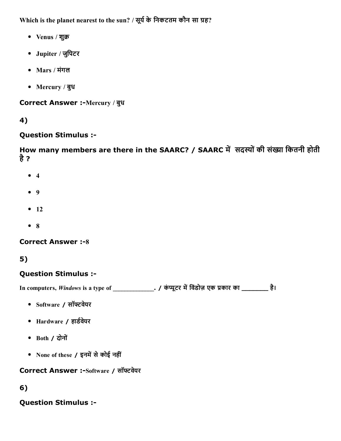Which is the planet nearest to the sun? / सूर्य के निकटतम कौन सा ग्रह?

- Venus / शुक्र
- Jupiter / जुिपटर
- Mars / मंगल
- Mercury / बुध

Correct Answer :-Mercury / बुध

## 4)

### Question Stimulus :

How many members are there in the SAARC? / SAARC में सदस्यों की संख्या कितनी होती है?

- $4$
- 9
- $-12$
- 8

### **Correct Answer :-8**

# 5)

### Question Stimulus :

In computers, Windows is a type of \_\_\_\_\_\_\_\_\_\_\_\_\_\_. / कंप्यूटर में विंडोज़ एक प्रकार का \_\_\_\_\_\_\_\_\_ है।

- Software / सॉफ्टवेयर
- Hardware / हार्डवेयर
- Both / दोनों
- None of these / इनमें से कोई नहीं

Correct Answer :-Software / सॉफ्टवेयर

## 6)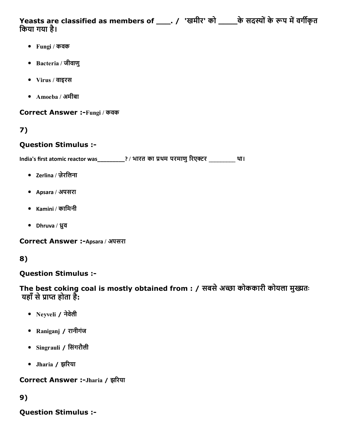Yeasts are classified as members of \_\_\_\_. / 'खमीर' को \_\_\_\_\_के सदस्यों के रूप में वर्गीकृत िकया गया है।

- Fungi / कवक
- Bacteria / जीवाणु
- Virus / वाइरस
- Amoeba / अमीबा

Correct Answer :Fungi / कवक

# 7)

### Question Stimulus :

India's first atomic reactor was\_\_\_\_\_\_\_\_\_? / भारत का थम परमाणु̀रएကर \_\_\_\_\_\_\_\_\_ था।

- Zerlina / ज़ेरिलना
- Apsara / अपसरा
- Kamini / कािमनी
- Dhruva / ध्रुव

Correct Answer :-Apsara / अपसरा

# 8)

### Question Stimulus :

The best coking coal is mostly obtained from : / सबसे अच्छा कोककारी कोयला मुख्यतः यहाँ से प्राप्त होता है:

- Neyveli / नेवलेी
- Raniganj / रानीगंज
- Singrauli / िसंगरौली
- Jharia / झ̀रया

Correct Answer :-Jharia / झरिया

### 9)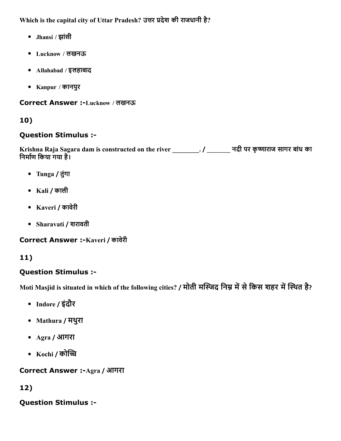Which is the capital city of Uttar Pradesh? उत्तर प्रदेश की राजधानी है?

- Jhansi / झांसी
- Lucknow / लखनऊ
- Allahabad / इलहाबाद
- Kanpur / कानपुर

Correct Answer :Lucknow / लखनऊ

## 10)

### Question Stimulus :

Krishna Raja Sagara dam is constructed on the river \_\_\_\_\_\_\_\_. / \_\_\_\_\_\_\_\_ नदी पर कृष्णाराज सागर बांध का निर्माण किया गया है।

- Tunga / तुंगा
- Kali / काली
- Kaveri / कावेरी
- Sharavati / शरावती

Correct Answer :-Kaveri / कावेरी

# 11)

## Question Stimulus :

Moti Masjid is situated in which of the following cities? / मोती मस्जिद निम्न में से किस शहर में स्थित है?

- Indore / इंदौर
- Mathura / मथुरा
- Agra / आगरा
- Kochi / कोच्चि

Correct Answer :-Agra / आगरा

# 12)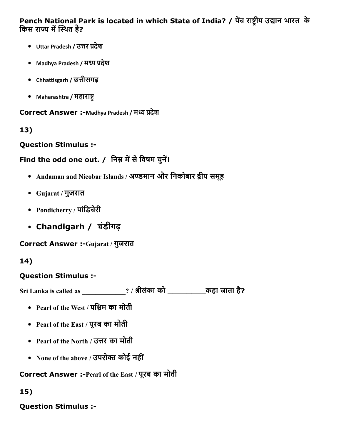Pench National Park is located in which State of India? / पेंच राष्ट्रीय उद्यान भारत के किस राज्य में स्थित है?

- Uttar Pradesh / उत्तर प्रदेश
- Madhya Pradesh / मध्य प्रदेश
- Chhattisgarh / छत्तीसगढ़
- Maharashtra / महाराष्ट्

Correct Answer :-Madhya Pradesh / मध्य प्रदेश

13)

Question Stimulus :

# Find the odd one out. / निम्न में से विषम चुनें।

- Andaman and Nicobar Islands / अण्डमान और निकोबार द्वीप समूह
- Gujarat / गुजरात
- Pondicherry / पांिडचेरी
- Chandigarh / चंडीगढ़

Correct Answer :-Gujarat / गुजरात

# 14)

## Question Stimulus :

Sri Lanka is called as \_\_\_\_\_\_\_\_\_\_\_\_\_? / ∀ीलंका को \_\_\_\_\_\_\_\_कहा जाता है?

- Pearl of the West / पश्चिम का मोती
- Pearl of the East / पूरब का मोती
- Pearl of the North / उत्तर का मोती
- None of the above / उपरोक्त कोई नहीं

# Correct Answer :Pearl of the East / पूरब का मोती

15)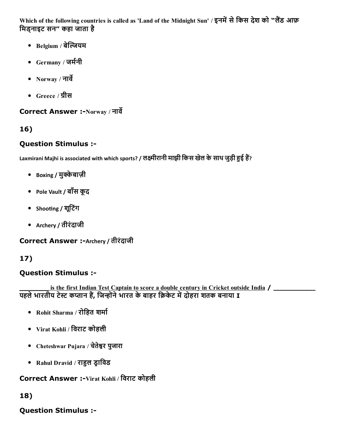Which of the following countries is called as 'Land of the Midnight Sun' / इनमें से किस देश को "लैंड आफ़ िमड्नाइट सन" कहा जाता है

- Belgium / बेल्जियम
- Germany / जर्मनी
- Norway / नार्वे
- Greece / ग्रीस

## Correct Answer :-Norway / नार्वे

# 16)

# Question Stimulus :

Laxmirani Majhi is associated with which sports? / लक्ष्मीरानी माझी किस खेल के साथ जुड़ी हुई हैं?

- Boxing / मुक्केबाज़ी
- Pole Vault / बाँस कूद
- Shooting / शूटिंग
- Archery / तीरंदाजी

Correct Answer :-Archery / तीरंदाजी

# 17)

# Question Stimulus :

is the first Indian Test Captain to score a double century in Cricket outside India / \_\_\_\_\_\_\_\_\_\_\_\_\_\_\_\_\_\_\_\_\_\_\_\_ पहले भारतीय टेस्ट कप्तान हैं, जिन्होंने भारत के बाहर क्रिकेट में दोहरा शतक बनाया I

- Rohit Sharma / रोहित शर्मा
- Virat Kohli / िवराट कोहली
- Cheteshwar Pujara / चेतेကर पुजारा
- Rahul Dravid / राहुल ड्राविड

## Correct Answer :-Virat Kohli / विराट कोहली

# 18)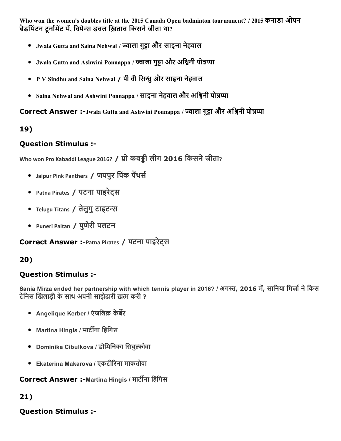Who won the women's doubles title at the 2015 Canada Open badminton tournament? / 2015 कनाडा ओपन बैडमिंटन टूर्नामेंट में, विमेन्स डबल ख़िताब किसने जीता था?

- Jwala Gutta and Saina Nehwal / ज्वाला गुट्टा और साइना नेहवाल
- Jwala Gutta and Ashwini Ponnappa / ज्वाला गुट्टा और अश्विनी पोन्नप्पा
- P V Sindhu and Saina Nehwal / पी वी सिन्धु और साइना नेहवाल
- Saina Nehwal and Ashwini Ponnappa / साइना नेहवाल और अश्विनी पोन्नप्पा

Correct Answer :-Jwala Gutta and Ashwini Ponnappa / ज्वाला गुट्टा और अश्विनी पोन्नप्पा

## 19)

### Question Stimulus :

Who won Pro Kabaddi League 2016? / प्रो कबड़ी लीग 2016 किसने जीता?

- Jaipur Pink Panthers / जयपुर पिंक पैंथर्स
- Patna Pirates / पटना पाइरेट्स
- Telugu Titans / तेलुगु टाइटन्स
- Puneri Paltan / पुणेरी पलटन

Correct Answer :Patna Pirates / पटना पाइरेट्स

## 20)

### Question Stimulus :

Sania Mirza ended her partnership with which tennis player in 2016? / अगस्त, 2016 में, सानिया मिर्ज़ा ने किस टेनिस खिलाड़ी के साथ अपनी साझेदारी ख़त्म करी ?

- Angelique Kerber / एंजलिक़ केर्बेर
- $\bullet$  Martina Hingis / मार्टीना हिंगिस
- Dominika Cibulkova / डोिमिनका िसबुဂोवा
- Ekaterina Makarova / एकटी̀रना माकतोवा

### Correct Answer :-Martina Hingis / मार्टीना हिंगिस

### 21)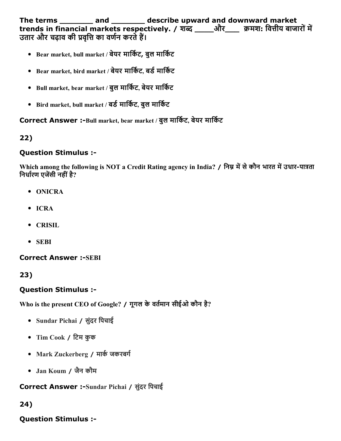The terms \_\_\_\_\_\_\_ and \_\_\_\_\_\_\_ describe upward and downward market trends in financial markets respectively. / शब्द \_\_\_\_\_और\_\_\_\_ क्रमश: वित्तीय बाजारों में उतार और चढ़ाव की प्रवृत्ति का वर्णन करते हैं।

- Bear market, bull market / बेयर मार्किट, बुल मार्किट
- Bear market, bird market / बेयर मार्किट, बर्ड मार्किट
- Bull market, bear market / बुल मार्किट, बेयर मार्किट
- Bird market, bull market / बर्ड मार्किट, बुल मार्किट

Correct Answer :-Bull market, bear market / बुल मार्किट, बेयर मार्किट

### 22)

#### Question Stimulus :

Which among the following is NOT a Credit Rating agency in India? / निम्न में से कौन भारत में उधार-पात्रता निर्धारण एजेंसी नहीं है?

- ONICRA
- ICRA
- CRISIL
- SEBI

#### **Correct Answer :-SEBI**

23)

#### Question Stimulus :

Who is the present CEO of Google? / गूगल के वर्तमान सीईओ कौन है?

- Sundar Pichai / सुंदर िपचाई
- Tim Cook / िटम कुक
- Mark Zuckerberg / मार्क जकरबर्ग
- Jan Koum / जैन कौम

#### Correct Answer :-Sundar Pichai / सुंदर पिचाई

### 24)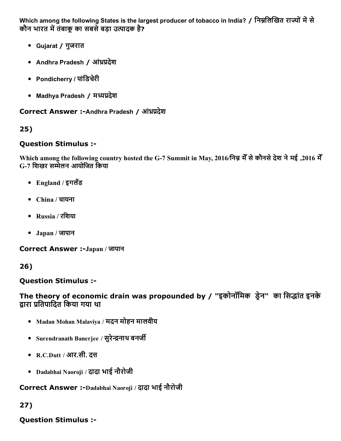Which among the following States is the largest producer of tobacco in India? / निम्नलिखित राज्यों में से कौन भारत में तंबाकू का सबसे बड़ा उत्पादक है?

- Gujarat / गुजरात
- Andhra Pradesh / आंध्रप्रदेश
- Pondicherry / पांडिचेरी
- Madhya Pradesh / मध्यप्रदेश

Correct Answer :-Andhra Pradesh / आंध्रप्रदेश

#### 25)

#### Question Stimulus :

Which among the following country hosted the G7 Summit in May, 2016/िनဂ मेँसेकौनसेदेश नेमई ,2016 मेँ G7 िशखर स䀉ेलन आयोिजत िकया

- England / इगलँड
- China / चायना
- Russia / रिशया
- Japan / जापान

**Correct Answer :-Japan / जापान** 

26)

Question Stimulus :

The theory of economic drain was propounded by / "इकोनॉमिक ड्रेन" का सिद्धांत इनके द्वारा प्रतिपादित किया गया था

- Madan Mohan Malaviya / मदन मोहन मालवीय
- Surendranath Banerjee / सुरेन्द्रनाथ बनर्जी
- R.C.Dutt / आर.सी. दत्त
- Dadabhai Naoroji / दादा भाई नौरोजी

Correct Answer :-Dadabhai Naoroji / दादा भाई नौरोजी

## 27)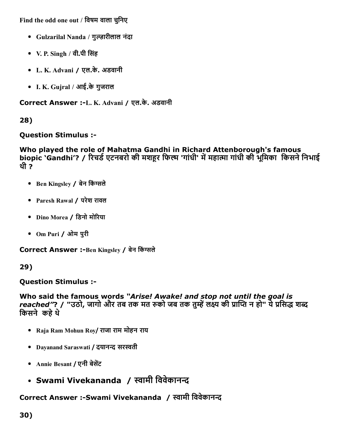Find the odd one out / विषम वाला चुनिए

- Gulzarilal Nanda / गुကारीलाल नंदा
- V. P. Singh / वी.पी सिंह
- L. K. Advani / एल.के. अडवानी
- I. K. Gujral / आई.के गुजराल

Correct Answer :-L. K. Advani / एल.के. अडवानी

# 28)

## Question Stimulus :

Who played the role of Mahatma Gandhi in Richard Attenborough's famous biopic 'Gandhi'? / रिचर्ड एटनबरो की मशहूर फिल्म 'गांधी' में महात्मा गांधी की भूमिका किसने निभाई थी ?

- Ben Kingsley / बेन किंग्सले
- Paresh Rawal / परेश रावल
- Dino Morea / िडनो मो̀रया
- Om Puri / ओम पुरी

Correct Answer :- Ben Kingsley / बेन किंग्सले

# 29)

# Question Stimulus :

Who said the famous words *"Arise! Awake! and stop not until the goal is reached"*? / "उठो, जागो और तब तक मत रुको जब तक तुम्हें लक्ष्य की प्राप्ति न हो" ये प्रसिद्ध शब्द िकसनेकहेथे

- Raja Ram Mohun Roy/ राजा राम मोहन राय
- Dayanand Saraswati / दयानन्द सरस्वती
- Annie Besant / एनी बेसेंट
- Swami Vivekananda / स्वामी विवेकानन्द

# Correct Answer :-Swami Vivekananda / स्वामी विवेकानन्द

30)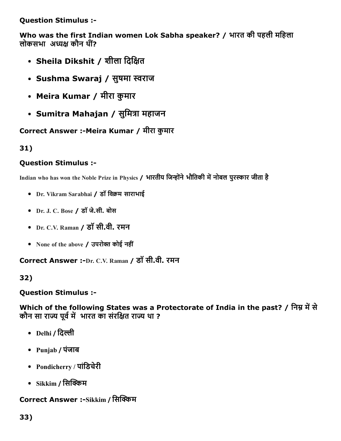Question Stimulus :

Who was the first Indian women Lok Sabha speaker? / भारत की पहली मिहला लोकसभा अध्यक्ष कौन थीं?

- Sheila Dikshit / शीला दिक्षित
- Sushma Swaraj / सुषमा स्वराज
- Meira Kumar / मीरा कुमार
- Sumitra Mahajan / सुमित्रा महाजन

Correct Answer :-Meira Kumar / मीरा कुमार

31)

## Question Stimulus :

Indian who has won the Noble Prize in Physics / भारतीय जिन्होंने भौतिकी में नोबल पुरस्कार जीता है

- Dr. Vikram Sarabhai / डॉ विक्रम साराभाई
- Dr. J. C. Bose / डॉ जे.सी. बोस
- Dr. C.V. Raman / डॉ सी.वी. रमन
- None of the above / उपरोक्त कोई नहीं

Correct Answer :-Dr. C.V. Raman / डॉ सी.वी. रमन

32)

## Question Stimulus :

Which of the following States was a Protectorate of India in the past? / निम्न में से कौन सा राज्य पूर्व में भारत का संरक्षित राज्य था ?

- Delhi / दिल्ली
- Punjab / पंजाब
- Pondicherry / पांिडचेरी
- Sikkim / सिक्किम

# Correct Answer :-Sikkim / सिक्किम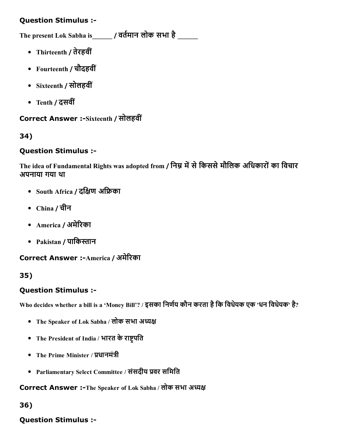### Question Stimulus :

The present Lok Sabha is  $\qquad$  / वर्तमान लोक सभा है

- Thirteenth / तेरहवीं
- Fourteenth / चौदहवीं
- Sixteenth / सोलहवीं
- Tenth / दसवीं

### Correct Answer :-Sixteenth / सोलहवीं

### 34)

### Question Stimulus :

The idea of Fundamental Rights was adopted from / निम्न में से किससे मौलिक अधिकारों का विचार अपनाया गया था

- South Africa / दक्षिण अफ्रिका
- China / चीन
- America / अमे̀रका
- Pakistan / पाकिस्तान

### Correct Answer :-America / अमेरिका

### 35)

### Question Stimulus :

Who decides whether a bill is a 'Money Bill'? / इसका निर्णय कौन करता है कि विधेयक एक 'धन विधेयक' है?

- The Speaker of Lok Sabha / लोक सभा अध्यक्ष
- The President of India / भारत के राष्ट्रपति
- The Prime Minister / प्रधानमंत्री
- Parliamentary Select Committee / संसदीय वर सिमित

Correct Answer :-The Speaker of Lok Sabha / लोक सभा अध्यक्ष

### 36)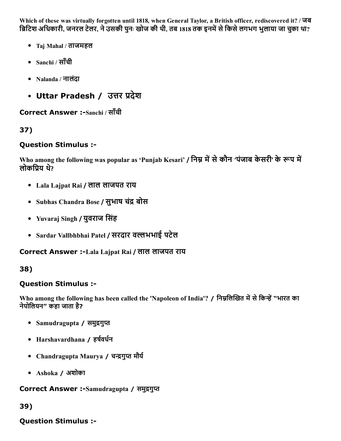Which of these was virtually forgotten until 1818, when General Taylor, a British officer, rediscovered it? / जब ब्रिटिश अधिकारी, जनरल टेलर, ने उसकी पुनः खोज की थी, तब 1818 तक इनमें से किसे लगभग भुलाया जा चुका था?

- Taj Mahal / ताजमहल
- Sanchi / साँची
- Nalanda / नालंदा
- Uttar Pradesh / उत्तर प्रदेश

Correct Answer :-Sanchi / साँची

## 37)

#### Question Stimulus :

Who among the following was popular as 'Punjab Kesari' / निम्न में से कौन 'पंजाब केसरी' के रूप में लोकपिय थे?

- Lala Lajpat Rai / लाल लाजपत राय
- Subhas Chandra Bose / सुभाष चंद्र बोस
- Yuvaraj Singh / युवराज िसंह
- Sardar Vallbhbhai Patel / सरदार वभभाई पटेल

Correct Answer :Lala Lajpat Rai / लाल लाजपत राय

### 38)

### Question Stimulus :

Who among the following has been called the 'Napoleon of India'? / निम्नलिखित में से किन्हें "भारत का नेपोिलयन" कहा जाता है?

- Samudragupta / समुद्रगुप्त
- Harshavardhana / हर्षवर्धन
- Chandragupta Maurya / चन्द्रगुप्त मौर्य
- Ashoka / अशोका

Correct Answer :-Samudragupta / समुद्रगुप्त

```
39)
```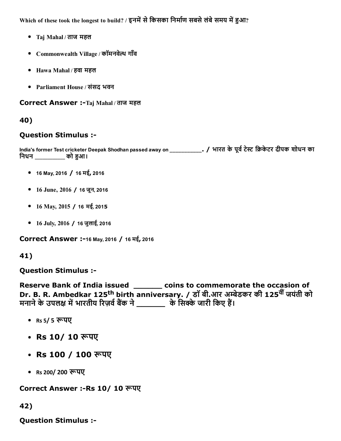Which of these took the longest to build? / इनमें से किसका निर्माण सबसे लंबे समय में हुआ?

- Taj Mahal / ताज महल
- Commonwealth Village / कॉमनवेल्थ गाँव
- Hawa Mahal / हवा महल
- Parliament House / संसद भवन

Correct Answer :-Taj Mahal / ताज महल

## 40)

### Question Stimulus :

India's former Test cricketer Deepak Shodhan passed away on \_\_\_\_\_\_\_\_\_\_\_\_\_. / भारत के पूर्व टेस्ट क्रिकेटर दीपक शोधन का िनधन \_\_\_\_\_\_\_\_\_\_\_\_ को ကआ।

- 16 May, 2016 / 16 मई, 2016
- 16 June, 2016 / 16 जून, 2016
- 16 May, 2015 / 16 मई, 2015
- 16 July, 2016 / 16 जुलाई, 2016

Correct Answer :-16 May, 2016 / 16 मई, 2016

### 41)

Question Stimulus :

Reserve Bank of India issued \_\_\_\_\_\_ coins to commemorate the occasion of Dr. B. R. Ambedkar 125<sup>th</sup> birth anniversary. / डॉ बी.आर अम्बेडकर की 125<sup>वीं</sup> जयंती को मनाने के उपलक्ष में भारतीय रिज़र्व बैंक ने \_\_\_\_\_\_\_\_ के सिक्के जारी किए हैं।

- Rs 5/ 5 ကपए
- Rs 10/ 10 रूपए
- Rs 100 / 100 रूपए
- Rs 200/ 200 रूपए

### Correct Answer :-Rs 10/ 10 रूपए

42)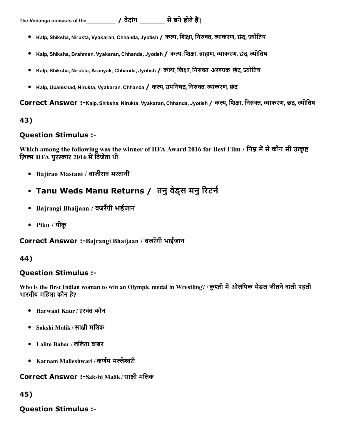- Kalp, Shiksha, Nirukta, Vyakaran, Chhanda, Jyotish / कल्प, शिक्षा, निरुक्त, व्याकरण, छंद्, ज्योतिष
- Kalp, Shiksha, Brahman, Vyakaran, Chhanda, Jyotish / कल्प, शिक्षा, ब्राह्मण, व्याकरण, छंद्, ज्योतिष
- Kalp, Shiksha, Nirukta, Aranyak, Chhanda, Jyotish / कल्प, शिक्षा, निरुक्त, अरण्यक, छंद्, ज्योतिष
- Kalp, Upanishad, Nirukta, Vyakaran, Chhanda / कल्प, उपनिषद्, निरुक्त, व्याकरण, छंद

Correct Answer :-Kalp, Shiksha, Nirukta, Vyakaran, Chhanda, Jyotish / कल्प, शिक्षा, निरुक्त, व्याकरण, छंद्, ज्योतिष

#### 43)

#### Question Stimulus :

Which among the following was the winner of IIFA Award 2016 for Best Film / निम्न में से कौन सी उत्कृष्ट फ़िल्म IIFA पुरस्कार 2016 में विजेता थी

- Bajirao Mastani / बाजीराव मस्तानी
- Tanu Weds Manu Returns / तनु वेड्स मनु रिटर्न
- Bajrangi Bhaijaan / बजरँग़ी भाईजान
- Piku / पीकू

Correct Answer :-Bajrangi Bhaijaan / बजरँगी भाईजान

### 44)

#### Question Stimulus :

Who is the first Indian woman to win an Olympic medal in Wrestling? / कुश्ती में ओलंपिक मेडल जीतने वाली पहली भारतीय मिहला कौन है?

- Harwant Kaur / हरवंत कौन
- Sakshi Malik / सा⠀ी मिलक
- Lalita Babar / लिलता बाबर
- Karnam Malleshwari / कर्णम मल्लेश्वरी

Correct Answer :-Sakshi Malik / साक्षी मलिक

45)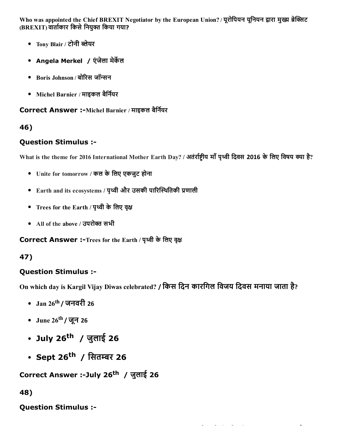Who was appointed the Chief BREXIT Negotiator by the European Union? / यूरोपियन यूनियन द्वारा मुख्य ब्रेक्सिट (BREXIT) वार्ताकार किसे नियुक्त किया गया?

- Tony Blair / टोनी 㐀लेयर
- Angela Merkel / एंजेला मेर्केल
- Boris Johnson / बोरिस जॉन्सन
- Michel Barnier / माइकल बैर्नियर

#### Correct Answer :-Michel Barnier / माइकल बैर्नियर

### 46)

### Question Stimulus :

What is the theme for 2016 International Mother Earth Day? / अतंर्राष्ट्रीय माँ पृथ्वी दिवस 2016 के लिए विषय क्या है?

- Unite for tomorrow / कल के लिए एकजुट होना
- $\bullet$  Earth and its ecosystems / पृथ्वी और उसकी पारिस्थितिकी प्रणाली
- Trees for the Earth / पृथ्वी के लिए वृक्ष
- All of the above / उपरोक्त सभी

Correct Answer :-Trees for the Earth / पृथ्वी के लिए वृक्ष

## 47)

## Question Stimulus :

On which day is Kargil Vijay Diwas celebrated? / िकस िदन कारिगल िवजय िदवस मनाया जाता है ?

- Jan 26 th / जनवरी 26
- June 26<sup>th</sup> / जून 26
- July 26 th / जुलाई 26
- Sept 26<sup>th</sup> / सितम्बर 26

Correct Answer :-July 26<sup>th</sup> / जुलाई 26

### 48)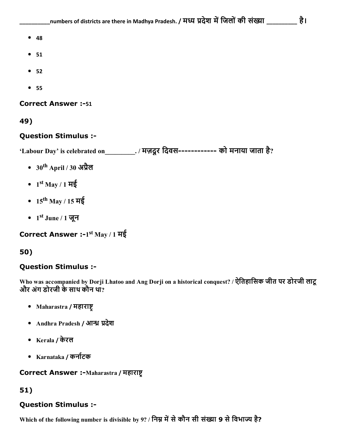- $48$
- $51$
- $52$
- 55

#### **Correct Answer :-51**

49)

#### Question Stimulus :

'Labour Day' is celebrated on\_\_\_\_\_\_\_\_\_\_\_. / मज़दूर दिवस------------ को मनाया जाता है?

- 30<sup>th</sup> April / 30 अप्रैल
- 1 st May / 1 मई
- 15<sup>th</sup> May / 15 मई
- $1^{\text{st}}$  June / 1 जून

```
Correct Answer :-1<sup>st</sup> May / 1 मई
```
#### 50)

#### Question Stimulus :

Who was accompanied by Dorji Lhatoo and Ang Dorji on a historical conquest? / ऐितहािसक जीत पर डोरजी लाटू और अंग डोरजी के साथ कौन था?

- Maharastra / महाराष्ट
- Andhra Pradesh / आन्ध्र प्रदेश
- Kerala / केरल
- Karnataka / कर्नाटक

Correct Answer :-Maharastra / महाराष्ट्र

#### 51)

### Question Stimulus :

Which of the following number is divisible by 9? / निम्न में से कौन सी संख्या 9 से विभाज्य है?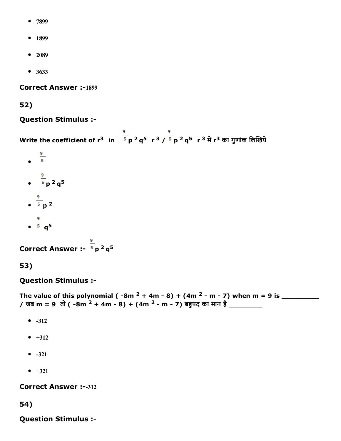- 7899
- 1899
- $-2089$
- 3633

**Correct Answer :-1899** 

### 52)

### Question Stimulus :

Write the coefficient of r $^3$   $\,$  in  $\,$   $^5$  p  $^2$  q $^5$   $\,$  r  $^2$   $\,$   $\rm q^5$   $\,$  r  $^3$  में r $^3$  का गुणांक लिखिये

 $rac{9}{5}$ p <sup>2</sup> q 5 p 2 q 5

Correct Answer :-  $5 p^2 q^5$ 

53)

## Question Stimulus :

The value of this polynomial ( 8m <sup>2</sup> + 4m 8) + (4m <sup>2</sup> m 7) when m = 9 is \_\_\_\_\_\_\_\_\_ / जब m = 9 तो ( -8m  $^{2}$  + 4m - 8) + (4m  $^{2}$  - m - 7) बहुपद का मान है \_\_\_\_\_\_\_\_

- $-312$
- $-1312$
- $-321$
- $-+321$

**Correct Answer :--312** 

54)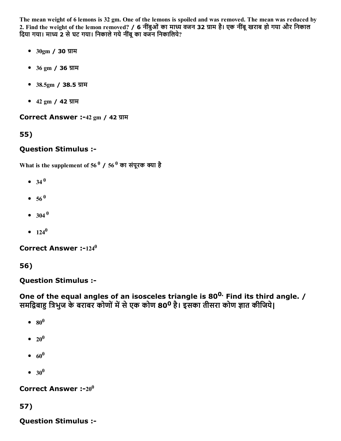The mean weight of 6 lemons is 32 gm. One of the lemons is spoiled and was removed. The mean was reduced by 2. Find the weight of the lemon removed? / 6 नींबुओं का माध्य वजन 32 ग्राम है। एक नींबू खराब हो गया और निकाल दिया गया। माध्य 2 से घट गया। निकाले गये नींबू का वजन निकालिये?

- $30gm / 30 JTH$
- $36 \text{ gm}$  /  $36 \text{ yTH}$
- $38.5gm / 38.5 37H$
- $42 \text{ gm}$  /  $42 \text{ W}$

Correct Answer :-42 gm / 42 ग्राम

## 55)

### Question Stimulus :

What is the supplement of 56  $^0$  / 56  $^0$  का संपूरक क्या है

- 34 0
- 56 0
- $304^{0}$
- $124^0$

Correct Answer :- $124^0$ 

### 56)

Question Stimulus :

One of the equal angles of an isosceles triangle is 80<sup>0.</sup> Find its third angle. / समद्विबाहु त्रिभुज के बराबर कोणों में से एक कोण 80<sup>0</sup> है। इसका तीसरा कोण ज्ञात कीजिये।

- $\mathbf{80}^{\mathbf{0}}$
- $20^0$
- $60^0$
- $30^0$

Correct Answer :- $20^0$ 

### 57)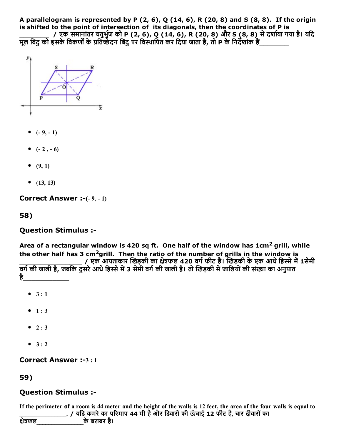A parallelogram is represented by P  $(2, 6)$ , Q  $(14, 6)$ , R  $(20, 8)$  and S  $(8, 8)$ . If the origin is shifted to the point of intersection of its diagonals, then the coordinates of P is

\_\_\_\_\_\_\_\_\_\_\_\_\_\_\_\_\_ / एक समानांतर चतुर्भुज को P (2, 6), Q (14, 6), R (20, 8) और S (8, 8) से दशोया गया है। यदि मूल बिंदु को इसके विकर्णों के प्रतिच्छेदन बिंदु पर विस्थापित कर दिया जाता है, तो P के निर्दशांक हैं\_\_\_\_\_\_\_\_\_\_\_



- $(-9, -1)$
- $(-2, -6)$
- $(9, 1)$
- $(13, 13)$

**Correct Answer :-** $(-9, -1)$ 

58)

#### Question Stimulus :

Area of a rectangular window is 420 sq ft. One half of the window has 1cm<sup>2</sup> grill, while the other half has 3  $cm^2$ grill. Then the ratio of the number of grills in the window is

\_\_\_\_\_\_\_\_\_\_\_\_\_\_\_ / एक आयताकार खड़की का ⠀े फल 420 वगᘀफीट है। खड़की केएक आधेिह큒ेम⨀1सेमी वर्ग की जाली है, जबकि दूसरे आधे हिस्से में 3 सेमी वर्ग की जाली है। तो खिड़की में जालियों की संख्या का अनुपात ह<u>े</u>\_\_\_\_\_\_\_\_\_\_\_\_\_\_\_

- $3 : 1$
- $1:3$
- $2:3$
- $-3:2$

Correct Answer :-3:1

### 59)

### Question Stimulus :

If the perimeter of a room is 44 meter and the height of the walls is 12 feet, the area of the four walls is equal to . / यदि कमरे का परिमाप 44 मी है और दिवारों की ऊँचाई 12 फीट है, चार दीवारों का

| क्षेत्रफल |  | के बराबर है। |  |
|-----------|--|--------------|--|
|           |  |              |  |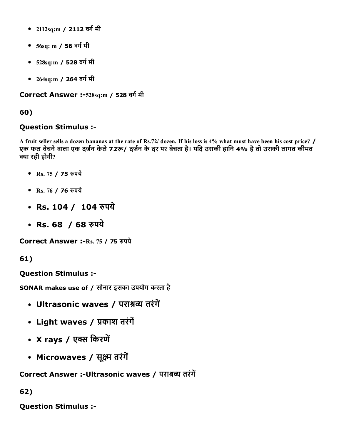- 2112sq:m / 2112 वर्ग मी
- 56sq: m / 56 वर्ग मी
- 528sq:m / 528 वर्ग मी
- 264sq:m / 264 वर्ग मी

Correct Answer :-528sq:m / 528 वर्ग मी

### 60)

#### Question Stimulus :

A fruit seller sells a dozen bananas at the rate of Rs.72/ dozen. If his loss is 4% what must have been his cost price? / एक फल बेचने वाला एक दर्जन केले 72रू/ दर्जन के दर पर बेचता है। यदि उसकी हानि 4% है तो उसकी लागत कीमत क्या रही होगी?

- Rs. 75 / 75 रुपये
- Rs. 76 / 76 रुपये
- Rs. 104 / 104 रुपये
- Rs. 68 / 68 रुपये

Correct Answer :-Rs. 75 / 75 रुपये

61)

Question Stimulus :

SONAR makes use of / सोनार इसका उपयोग करता है

- Ultrasonic waves / पराश्रव्य तरंगें
- Light waves / प्रकाश तरंगें
- X rays / एक्स किरणें
- Microwaves / सूक्ष्म तरंगें

Correct Answer :-Ultrasonic waves / पराश्रव्य तरंगें

62)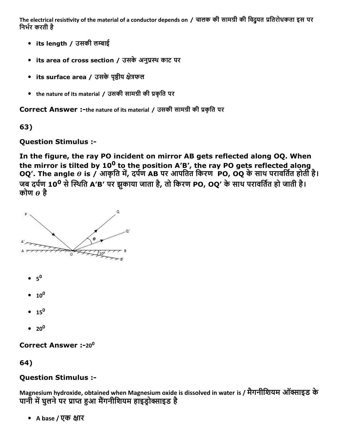The electrical resistivity of the material of a conductor depends on / चालक की सामग्री की विद्र्यत प्रतिरोधकता इस पर निर्भर करती है

- its length / उसकी लကाई
- its area of cross section / उसके अनुप्रस्थ काट पर
- its surface area / उसके पृष्ठीय क्षेत्रफल
- the nature of its material / उसकी सामग्री की प्रकृति पर

Correct Answer :-the nature of its material / उसकी सामग्री की प्रकृति पर

63)

## Question Stimulus :

In the figure, the ray PO incident on mirror AB gets reflected along OQ. When the mirror is tilted by 10<sup>0</sup> to the position A'B', the ray PO gets reflected along OQ'. The angle  $\theta$  is / आकृति में, दर्पण AB पर आपतित किरण PO, OQ के साथ परावर्तित होती है। जब दर्पण 10<sup>0</sup> से स्थिति A'B' पर झुकाया जाता है, तो किरण PO, OQ' के साथ परावर्तित हो जाती है। कोण  $\theta$  है



 $20^0$ 

Correct Answer :-20<sup>0</sup>

64)

## Question Stimulus :

Magnesium hydroxide, obtained when Magnesium oxide is dissolved in water is / मैगनीशियम ऑक्साइड के पानी में घुलने पर प्राप्त हुआ मैंगनीशियम हाइडोक्साइड है

• A base / एक क्षार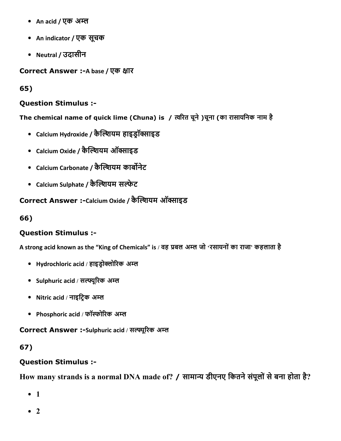- An acid / एक अम्ल
- An indicator / एक सूचक
- Neutral / उदासीन

Correct Answer :- A base / एक क्षार

65)

#### Question Stimulus :

The chemical name of quick lime (Chuna) is / त्वरित चूने )चूना (का रासायनिक नाम है

- Calcium Hydroxide / कैल्शियम हाइड्रॉक्साइड
- Calcium Oxide / कैल्शियम ऑक्साइड
- Calcium Carbonate / कैल्शियम कार्बोनेट
- Calcium Sulphate / कैल्शियम सल्फेट

### Correct Answer :-Calcium Oxide / कैल्शियम ऑक्साइड

66)

### Question Stimulus :

A strong acid known as the "King of Chemicals" is / वह प्रबल अम्ल जो 'रसायनों का राजा' कहलाता है

- Hydrochloric acid / हाइडोक्लोरिक अम्ल
- Sulphuric acid / सल्फ्यूरिक अम्ल
- Nitric acid / नाइट्रिक अम्ल
- Phosphoric acid / फॉर्स्फोरिक अम्ल

Correct Answer :-Sulphuric acid / सल्फ्यूरिक अम्ल

### 67)

### Question Stimulus :

How many strands is a normal DNA made of? / सामान्य डीएनए कितने संपूलों से बना होता है?

- 1
- $\bullet$  2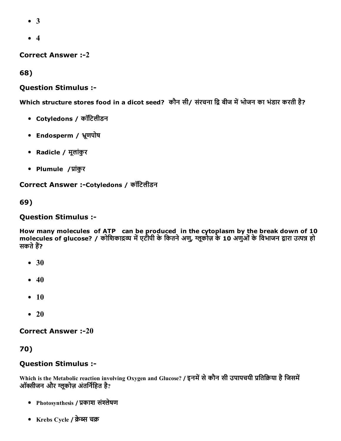- 3
- 4

**Correct Answer :-2** 

68)

#### Question Stimulus :

Which structure stores food in a dicot seed? कौन सी/ संरचना द्वि बीज में भोजन का भंडार करती है?

- Cotyledons / कॉिटलीडन
- Endosperm / ̀ूणपोष
- Radicle / मूलांकुर
- Plumule / प्रांकुर

Correct Answer :-Cotyledons / कॉटिलीडन

69)

#### Question Stimulus :

How many molecules of ATP can be produced in the cytoplasm by the break down of 10 molecules of glucose? / कोशिकाद्रव्य में एटीपी के कितने अणु, ग्लूकोज़ के 10 अणुओं के विभाजन द्वारा उत्पन्न हो सकते हैं?

- $30$
- $40$
- $\bullet$  10
- $\bullet$  20

**Correct Answer :-20** 

70)

#### Question Stimulus :

Which is the Metabolic reaction involving Oxygen and Glucose? / इनमें से कौन सी उपापचयी प्रतिक्रिया है जिसमें ऑक्सीजन और ग्लूकोज़ अंतर्निहित है?

- Photosynthesis / प्रकाश संश्लेषण
- Krebs Cycle / क्रेब्स चक्र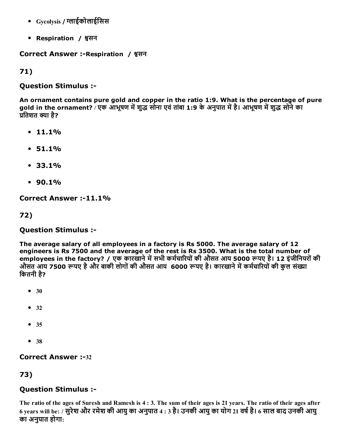- Gycolysis / ⌀Ȁाईकोलाईिसस
- Respiration / श्वसन

#### Correct Answer :- Respiration / श्वसन

71)

#### Question Stimulus :

An ornament contains pure gold and copper in the ratio 1:9. What is the percentage of pure gold in the ornament? / एक आभूषण में शुद्ध सोना एवं तांबा 1:9 के अनुपात में है। आभूषण में शुद्ध सोने का प्रतिशत क्या है?

- $11.1%$
- $51.1%$
- 33.1%
- $90.1%$

Correct Answer :-11.1%

72)

### Question Stimulus :

The average salary of all employees in a factory is Rs 5000. The average salary of 12 engineers is Rs 7500 and the average of the rest is Rs 3500. What is the total number of employees in the factory? / एक कारखाने में सभी कमेचारियों की ओसत आय 5000 रूपए है। 12 इंजीनियरों की औसत आय 7500 रूपए है और बाकी लोगों की औसत आय 6000 रूपए है। कारखाने में कर्मचारियों की कुल संख्या िकतनी है?

- 30
- 32
- 35
- $38$

### **Correct Answer :-32**

# 73)

## Question Stimulus :

The ratio of the ages of Suresh and Ramesh is 4 : 3. The sum of their ages is 21 years. The ratio of their ages after 6 years will be: / सुरेश और रमेश की आयु का अनुपात 4 : 3 है। उनकी आयु का योग 21 वर्ष है। 6 साल बाद उनकी आयु का अनुपात होगा: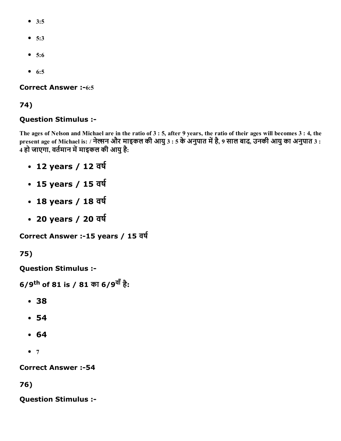- 3:5
- $5:3$
- 5:6
- $6:5$

**Correct Answer :-6:5** 

#### 74)

#### Question Stimulus :

The ages of Nelson and Michael are in the ratio of 3 : 5, after 9 years, the ratio of their ages will becomes 3 : 4, the present age of Michael is: / नेल्सन और माइकल की आयु 3 : 5 के अनुपात में है, 9 साल बाद, उनकी आयु का अनुपात 3 : 4 हो जाएगा, वर्तमान में माइकल की आयु है:

- 12 years / 12 वर्ष
- 15 years / 15 वर्ष
- 18 years / 18 वर्ष
- 20 years / 20 वर्ष

```
Correct Answer :-15 years / 15 वर्ष
```
75)

Question Stimulus :

```
6/9<sup>th</sup> of 81 is / 81 का 6/9<sup>वाँ</sup> है:
```
- 38
- 54
- 64
- $7$

**Correct Answer :-54** 

76)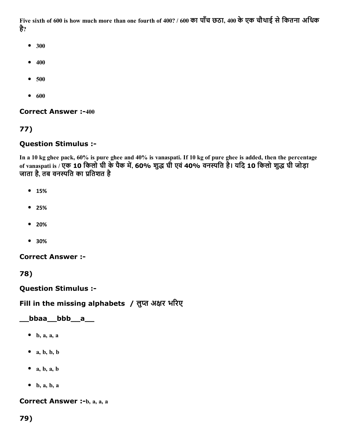Five sixth of 600 is how much more than one fourth of 400? / 600 का पाँच छठा, 400 के एक चौथाई से कितना अधिक है?

- 300
- $400$
- 500
- $600$

**Correct Answer :-400** 

#### 77)

#### Question Stimulus :

In a 10 kg ghee pack, 60% is pure ghee and 40% is vanaspati. If 10 kg of pure ghee is added, then the percentage of vanaspati is / एक 10 किलो घी के पैक में, 60% शुद्ध घी एवं 40% वनस्पति है। यदि 10 किलो शुद्ध घी जोड़ा जाता है, तब वनस्पति का प्रतिशत है

- 15%
- 25%
- 20%
- 30%

Correct Answer :

78)

Question Stimulus :

#### Fill in the missing alphabets / लुप्त अक्षर भरिए

#### \_\_bbaa\_\_bbb\_\_a\_\_

- $\bullet$  b, a, a, a
- $\bullet$  a, b, b, b
- $a, b, a, b$
- $\bullet$  b, a, b, a

Correct Answer :-b, a, a, a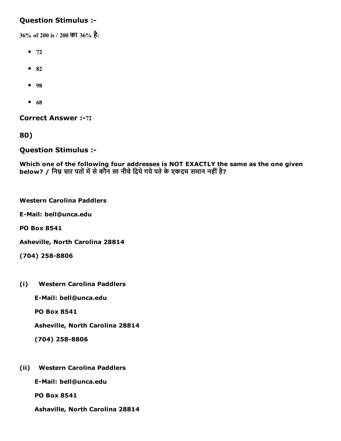#### Question Stimulus :

36% of 200 is / 200 का 36% है:

- $72$
- $82$
- 98
- $68$

**Correct Answer :-72** 

80)

Question Stimulus :

Which one of the following four addresses is NOT EXACTLY the same as the one given below? / निम्न चार पतों में से कौन सा नीचे दिये गये पते के एकदम समान नहीं है?

|  | <b>Western Carolina Paddlers</b> |
|--|----------------------------------|
|  |                                  |

E-Mail: bell@unca.edu

PO Box 8541

Asheville, North Carolina 28814

 $(704)$  258-8806

(i) Western Carolina Paddlers

E-Mail: bell@unca.edu

PO Box 8541

Asheville, North Carolina 28814

 $(704)$  258-8806

- (ii) Western Carolina Paddlers
	- E-Mail: bell@unca.edu

PO Box 8541

Ashaville, North Carolina 28814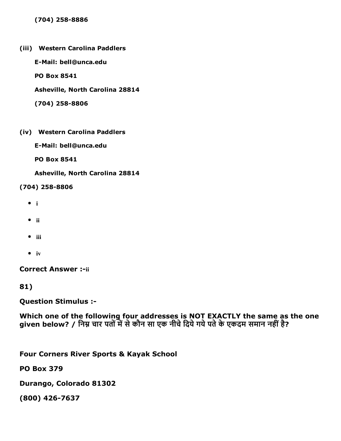#### (704) 258-8886

(iii) Western Carolina Paddlers

E-Mail: bell@unca.edu

PO Box 8541

Asheville, North Carolina 28814

(704) 258-8806

(iv) Western Carolina Paddlers

E-Mail: bell@unca.edu

PO Box 8541

Asheville, North Carolina 28814

 $(704)$  258-8806

- $\bullet$  i
- $\bullet$  ii
- $\bullet$  iii
- $\bullet$  iv

**Correct Answer :-ii** 

81)

Question Stimulus :

Which one of the following four addresses is NOT EXACTLY the same as the one given below? / निम्न चार पतों में से कौन सा एक नीचे दिये गये पते के एकदम समान नहीं है?

Four Corners River Sports & Kayak School

PO Box 379

Durango, Colorado 81302

(800) 426-7637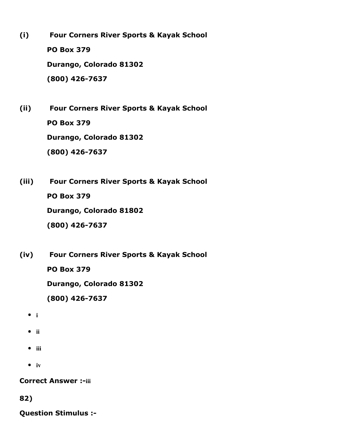- (i) Four Corners River Sports & Kayak School PO Box 379 Durango, Colorado 81302  $(800)$  426-7637
- (ii) Four Corners River Sports & Kayak School PO Box 379 Durango, Colorado 81302  $(800)$  426-7637
- (iii) Four Corners River Sports & Kayak School PO Box 379 Durango, Colorado 81802 (800) 426-7637
- (iv) Four Corners River Sports & Kayak School

PO Box 379

Durango, Colorado 81302

(800) 426-7637

- $\bullet$  i
- $\bullet$  ii
- $\bullet$  iii
- $\bullet$  iv

**Correct Answer :-iii** 

82)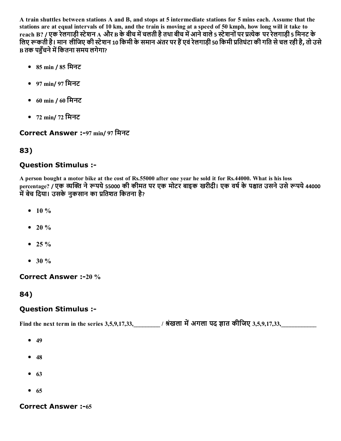A train shuttles between stations A and B, and stops at 5 intermediate stations for 5 mins each. Assume that the stations are at equal intervals of 10 km, and the train is moving at a speed of 50 kmph, how long will it take to reach B? / एक रेलगाड़ी स्टेशन A और B के बीच में चलती है तथा बीच में आने वाले 5 स्टेशनों पर प्रत्येक पर रेलगाड़ी 5 मिनट के लिए रूकती है। मान लीजिए की स्टेशन 10 किमी के समान अंतर पर हैं एवं रेलगाड़ी 50 किमी प्रतिघंटा की गति से चल रही है, तो उसे **B** तक पहँचने में कितना समय लगेगा?

- 85 min / 85 िमनट
- 97 min/ 97 िमनट
- 60 min / 60 िमनट
- 72 min/ 72 िमनट

#### Correct Answer :97 min/ 97 िमनट

#### 83)

#### Question Stimulus :

A person bought a motor bike at the cost of Rs.55000 after one year he sold it for Rs.44000. What is his loss percentage? / एक व्यक्ति ने रूपये 55000 की कीमत पर एक मोटर बाइक खरीदी। एक वर्ष के पश्चात उसने उसे रूपये 44000 .<br>में बेच दिया। उसके नकसान का प्रतिशत कितना है?

- $10 \%$
- $20 \%$
- $\bullet$  25 %
- $30 \%$

Correct Answer :-20 %

84)

#### Question Stimulus :

Find the next term in the series 3,5,9,17,33,  $\qquad$  / श्रंखला में अगला पद ज्ञात कीजिए 3,5,9,17,33,

- $-49$
- $48$
- $63$
- $65$

#### **Correct Answer :-65**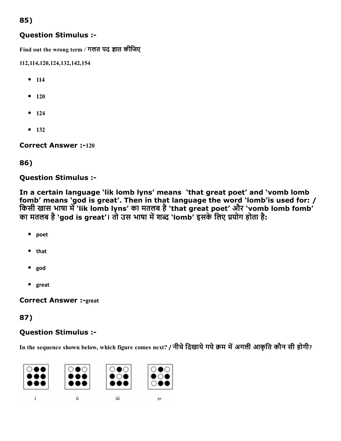### 85)

#### Question Stimulus :

Find out the wrong term / गलत पद ज्ञात कीजिए

112,114,120,124,132,142,154

- $114$
- $120$
- $124$
- $132$

**Correct Answer :-120** 

#### 86)

Question Stimulus :

In a certain language 'lik lomb lyns' means 'that great poet' and 'vomb lomb fomb' means 'god is great'. Then in that language the word 'lomb'is used for: / किसी खास भाषा में 'lik lomb lyns' का मतलब है 'that great poet' और 'vomb lomb fomb' का मतलब है 'god is great'। तो उस भाषा में शब्द 'lomb' इसके लिए प्रयोग होता है:

- poet
- that
- god
- great

**Correct Answer :- great** 

### 87)

## Question Stimulus :

In the sequence shown below, which figure comes next? / नीचे दिखाये गये क्रम में अगली आकृति कौन सी होगी?

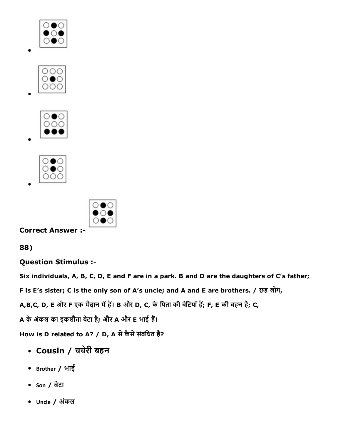









Correct Answer :

88)

Question Stimulus :

Six individuals, A, B, C, D, E and F are in a park. B and D are the daughters of C's father;

F is E's sister; C is the only son of A's uncle; and A and E are brothers. / छह लोग,

A,B,C, D, E और F एक मैदान में हैं। B और D, C, के पिता की बेटियाँ हैं; F, E की बहन है; C,

A के अंकल का इकलौता बेटा है; और A और E भाई हैं।

How is D related to A? / D, A से कैसे संबंधित है?

- Cousin / चचेरी बहन
- Brother / भाई
- Son / बेटा
- Uncle / अंकल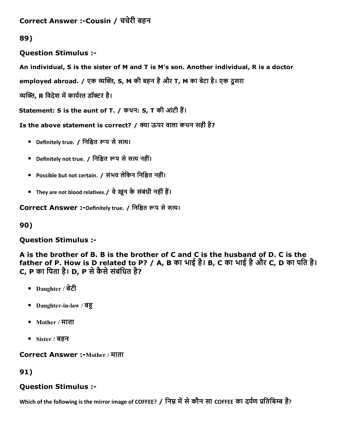```
Correct Answer :-Cousin / चचेरी बहन
```
## 89)

Question Stimulus :

An individual, S is the sister of M and T is M's son. Another individual, R is a doctor

employed abroad. / एक व्यक्ति, S, M की बहन है और T, M का बेटा है। एक दूसरा

व्यक्ति, R विदेश में कार्यरत डॉक्टर है।

Statement: S is the aunt of T. / कथन: S, T की आंटी हैं।

Is the above statement is correct? / क्या ऊपर वाला कथन सही है?

- Definitely true. / निश्चित रूप से सत्य।
- Definitely not true. / निश्चित रूप से सत्य नहीं।
- Possible but not certain. / संभव लेकिन निश्चित नहीं।
- They are not blood relatives./ वे खुन के संबंधी नहीं हैं।

Correct Answer :-Definitely true. / निश्चित रूप से सत्य।

90)

# Question Stimulus :

A is the brother of B. B is the brother of C and C is the husband of D. C is the father of P. How is D related to P? / A, B का भाई है। B, C का भाई हैऔर C, D का पित है। C, P का पिता है। D, P से कैसे संबंधित है?

- Daughter / बेटी
- Daughter-in-law / बहु
- Mother / माता
- Sister / बहन

## Correct Answer :-Mother / माता

91)

## Question Stimulus :

Which of the following is the mirror image of COFFEE? / निम्न में से कौन सा COFFEE का दर्पण प्रतिबिम्ब है?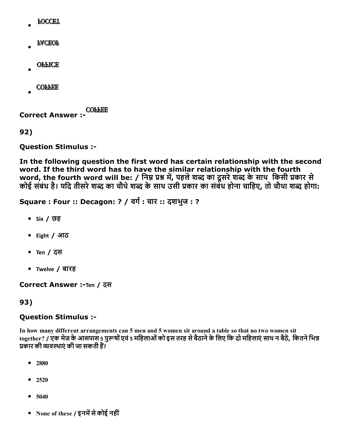- **FOCCET**
- **FACEOF**
- **OFFICE**
- **COFFEE**

Correct Answer :

92)

Question Stimulus :

In the following question the first word has certain relationship with the second word. If the third word has to have the similar relationship with the fourth word, the fourth word will be: / निम्न प्रश्न में, पहले शब्द का दूसरे शब्द के साथ किसी प्रकार से कोई संबंध है। यदि तीसरे शब्द का चौथे शब्द के साथ उसी प्रकार का संबंध होना चाहिए, तो चौथा शब्द होगा:

Square : Four :: Decagon: ? / वर्ग : चार :: दशभुज : ?

- Six / छह
- Eight / आठ
- Ten / दस
- Twelve / बारह

Correct Answer :-Ten / दस

#### 93)

#### Question Stimulus :

In how many different arrangements can 5 men and 5 women sit around a table so that no two women sit together? / एक मेज़ के आसपास 5 पुरूषों एवं 5 महिलाओं को इस तरह से बैठाने के लिए कि दो महिलाएं साथ न बैठें, कितने भिन्न प्रकार की व्यवस्थाएं की जा सकती हैं?

- 2880
- 2520
- $5040$
- None of these / इनमें से कोई नहीं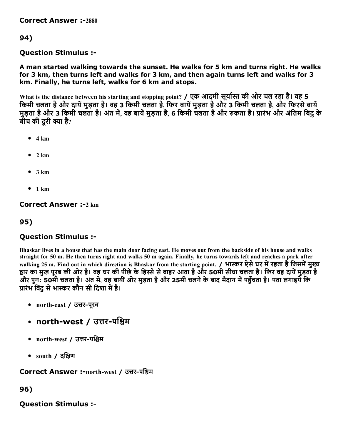**Correct Answer :-2880** 

### 94)

#### Question Stimulus :

A man started walking towards the sunset. He walks for 5 km and turns right. He walks for 3 km, then turns left and walks for 3 km, and then again turns left and walks for 3 km. Finally, he turns left, walks for 6 km and stops.

What is the distance between his starting and stopping point? / एक आदमी सूर्यास्त की ओर चल रहा है। वह 5 किमी चलता है और दायें मुड़ता है। वह 3 किमी चलता है, फिर बायें मुड़ता है और 3 किमी चलता है, और फिरसे बायें मुड़ता है और 3 किमी चलता है। अंत में, वह बायें मुड़ता है, 6 किमी चलता है और रुकता है। प्रारंभ और अंतिम बिंदु के बीच की दरी क्या है?

- $4 km$
- $\bullet$  2 km
- $3 km$
- $1 km$

**Correct Answer :- 2 km** 

### 95)

#### Question Stimulus :

Bhaskar lives in a house that has the main door facing east. He moves out from the backside of his house and walks straight for 50 m. He then turns right and walks 50 m again. Finally, he turns towards left and reaches a park after walking 25 m. Find out in which direction is Bhaskar from the starting point. / भास्कर ऐसे घर में रहता है जिसमें मुख्य द्वार का मुख पूरब की ओर है। वह घर की पीछे के हिस्से से बाहर आता है और 50मी सीधा चलता है। फिर वह दायें मुड़ता है ँ और पुन: 50मी चलता है। अंत में, वह बायीं ओर मुड़ता है और 25मी चलने के बाद मैदान में पहुँचता है। पता लगाइये कि प्रारंभ बिंद से भास्कर कौन सी दिशा में है।

- north-east / उत्तर-पूरब
- north-west / उत्तर-पश्चिम
- north-west / उत्तर-पश्चिम
- $\bullet$  south / दक्षिण

Correct Answer :-north-west / उत्तर-पश्चिम

96)

#### Question Stimulus :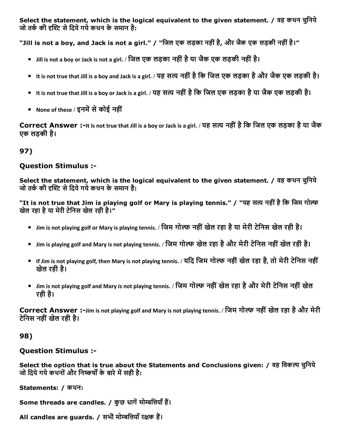Select the statement, which is the logical equivalent to the given statement. / वह कथन चुनिये जो तर्क की दृश्टि से दिये गये कथन के समान है:

"Jill is not a boy, and Jack is not a girl." / "िजल एक लड़का नहींहै, और जैक एक लड़की नहींहै।"

- Jill is not a boy or Jack is not a girl. / िजल एक लड़का नहींहैया जैक एक लड़की नहींहै।
- It is not true that Jill is a boy and Jack is a girl. / यह सत्य नहीं है कि जिल एक लड़का है और जैक एक लड़की है।
- It is not true that Jill is a boy or Jack is a girl. / यह सत्य नहीं है कि जिल एक लड़का है या जैक एक लड़की है।
- None of these / इनमें से कोई नहीं

Correct Answer :-It is not true that Jill is a boy or Jack is a girl. / यह सत्य नहीं है कि जिल एक लड़का है या जैक एक लड़की है।

## 97)

#### Question Stimulus :

Select the statement, which is the logical equivalent to the given statement. / वह कथन चुनिये जो तर्क की दृश्टि से दिये गये कथन के समान है:

"It is not true that Jim is playing golf or Mary is playing tennis." / "यह सत्य नहीं है कि जिम गोल्फ खेल रहा है या मेरी टेनिस खेल रही है।"

- Jim is not playing golf or Mary is playing tennis. / जिम गोल्फ नहीं खेल रहा है या मेरी टेनिस खेल रही है।
- Jim is playing golf and Mary is not playing tennis. / जिम गोल्फ खेल रहा है और मेरी टेनिस नहीं खेल रही है।
- If Jim is not playing golf, then Mary is not playing tennis. / यदि जिम गोल्फ नहीं खेल रहा है, तो मेरी टेनिस नहीं खेल रही है।
- Jim is not playing golf and Mary is not playing tennis. / जिम गोल्फ नहीं खेल रहा है और मेरी टेनिस नहीं खेल रही है।

Correct Answer :-Jim is not playing golf and Mary is not playing tennis. / जिम गोल्फ नहीं खेल रहा है और मेरी टेिनस नहींखेल रही है।

#### 98)

#### Question Stimulus :

Select the option that is true about the Statements and Conclusions given: / वह विकल्प चुनिये जो दिये गये कथनों और निष्कर्षों के बारे में सही है:

Statements: / कथन:

Some threads are candles. / कुछ धागें मोम्बत्तियाँ हैं।

All candles are guards. / सभी मोम्बत्तियाँ रक्षक हैं।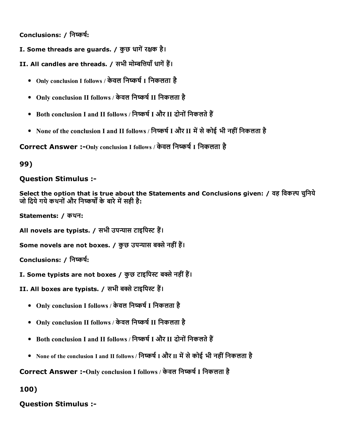Conclusions: / निष्कर्ष:

- I. Some threads are guards. / कुछ धागें रक्षक है।
- II. All candles are threads. / सभी मोम्बत्तियाँ धागें हैं।
	- Only conclusion I follows / केवल निष्कर्ष I निकलता है
	- Only conclusion II follows / केवल निष्कर्ष II निकलता है
	- Both conclusion I and II follows / निष्कर्ष I और II दोनों निकलते हैं
	- None of the conclusion I and II follows / निष्कर्ष I और II में से कोई भी नहीं निकलता है

Correct Answer :- Only conclusion I follows / केवल निष्कर्ष I निकलता है

99)

#### Question Stimulus :

Select the option that is true about the Statements and Conclusions given: / वह विकल्प चुनिये जो दिये गये कथनों और निष्कर्षों के बारे में सही है:

Statements: / कथन:

All novels are typists. / सभी उपन्यास टाइपिस्ट हैं।

Some novels are not boxes. / कुछ उपन्यास बक्से नहीं हैं।

Conclusions: / निष्कर्ष:

I. Some typists are not boxes / कुछ टाइपिस्ट बक्से नहीं हैं।

II. All boxes are typists. / सभी बक्से टाइपिस्ट हैं।

- Only conclusion I follows / केवल निष्कर्ष I निकलता है
- Only conclusion II follows / केवल निष्कर्ष II निकलता है
- Both conclusion I and II follows / निष्कर्ष I और II दोनों निकलते हैं
- None of the conclusion I and II follows / निष्कर्ष I और II में से कोई भी नहीं निकलता है

Correct Answer :-Only conclusion I follows / केवल निष्कर्ष I निकलता है

100)

## Question Stimulus :